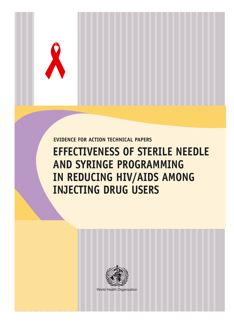**EVIDENCE FOR ACTION TECHNICAL PAPERS**

## **EFFECTIVENESS OF STERILE NEEDLE AND SYRINGE PROGRAMMING IN REDUCING HIV/AIDS AMONG INJECTING DRUG USERS**



World Health Organization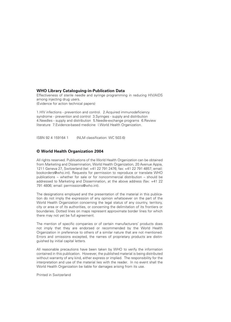#### **WHO Library Cataloguing-in-Publication Data**

Effectiveness of sterile needle and syringe programming in reducing HIV/AIDS among injecting drug users. (Evidence for action technical papers)

1.HIV infections - prevention and control. 2.Acquired immunodeficiency syndrome - prevention and control 3.Syringes - supply and distribution 4.Needles - supply and distribution 5.Needle-exchange programs 6.Review literature 7.Evidence-based medicine I.World Health Organization.

ISBN 92 4 159164 1 (NLM classification: WC 503.6)

#### **© World Health Organization 2004**

All rights reserved. Publications of the World Health Organization can be obtained from Marketing and Dissemination, World Health Organization, 20 Avenue Appia, 1211 Geneva 27, Switzerland (tel: +41 22 791 2476; fax: +41 22 791 4857; email: bookorders@who.int). Requests for permission to reproduce or translate WHO publications – whether for sale or for noncommercial distribution – should be addressed to Marketing and Dissemination, at the above address (fax: +41 22 791 4806; email: permissions@who.int).

The designations employed and the presentation of the material in this publication do not imply the expression of any opinion whatsoever on the part of the World Health Organization concerning the legal status of any country, territory, city or area or of its authorities, or concerning the delimitation of its frontiers or boundaries. Dotted lines on maps represent approximate border lines for which there may not yet be full agreement.

The mention of specific companies or of certain manufacturers' products does not imply that they are endorsed or recommended by the World Health Organization in preference to others of a similar nature that are not mentioned. Errors and omissions excepted, the names of proprietary products are distinguished by initial capital letters.

All reasonable precautions have been taken by WHO to verify the information contained in this publication. However, the published material is being distributed without warranty of any kind, either express or implied. The responsibility for the interpretation and use of the material lies with the reader. In no event shall the World Health Organization be liable for damages arising from its use.

Printed in Switzerland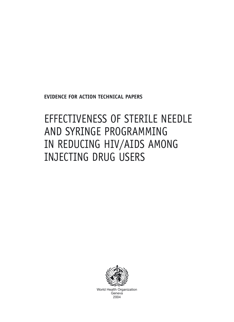**EVIDENCE FOR ACTION TECHNICAL PAPERS**

## EFFECTIVENESS OF STERILE NEEDLE AND SYRINGE PROGRAMMING IN REDUCING HIV/AIDS AMONG INJECTING DRUG USERS



World Health Organization **Geneva** 2004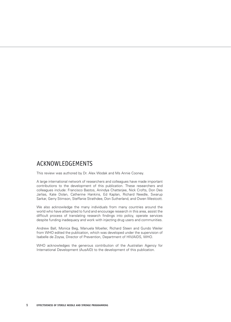### ACKNOWLEDGEMENTS

This review was authored by Dr. Alex Wodak and Ms Annie Cooney.

A large international network of researchers and colleagues have made important contributions to the development of this publication. These researchers and colleagues include: Francisco Bastos, Anindya Chatterjee, Nick Crofts, Don Des Jarlias, Kate Dolan, Catherine Hankins, Ed Kaplan, Richard Needle, Swarup Sarkar, Gerry Stimson, Steffanie Strathdee, Don Sutherland, and Owen Westcott.

We also acknowledge the many individuals from many countries around the world who have attempted to fund and encourage research in this area, assist the difficult process of translating research findings into policy, operate services despite funding inadequacy and work with injecting drug users and communities.

Andrew Ball, Monica Beg, Manuela Moeller, Richard Steen and Gundo Weiler from WHO edited the publication, which was developed under the supervision of Isabelle de Zoysa, Director of Prevention, Department of HIV/AIDS, WHO.

WHO acknowledges the generous contribution of the Australian Agency for International Development (AusAID) to the development of this publication.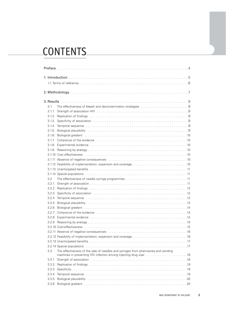## CONTENTS

| 3.1.   |                                                                                                                                                                                                                                |  |
|--------|--------------------------------------------------------------------------------------------------------------------------------------------------------------------------------------------------------------------------------|--|
| 3.1.1. |                                                                                                                                                                                                                                |  |
|        |                                                                                                                                                                                                                                |  |
|        | 3.1.3. Specificity of association contained as a series of the series of the series of the series of the series of the series of the series of the series of the series of the series of the series of the series of the serie |  |
|        |                                                                                                                                                                                                                                |  |
|        |                                                                                                                                                                                                                                |  |
|        |                                                                                                                                                                                                                                |  |
|        |                                                                                                                                                                                                                                |  |
|        |                                                                                                                                                                                                                                |  |
|        |                                                                                                                                                                                                                                |  |
|        |                                                                                                                                                                                                                                |  |
|        |                                                                                                                                                                                                                                |  |
|        |                                                                                                                                                                                                                                |  |
|        |                                                                                                                                                                                                                                |  |
|        |                                                                                                                                                                                                                                |  |
| 3.2    |                                                                                                                                                                                                                                |  |
| 3.2.1. |                                                                                                                                                                                                                                |  |
| 3.2.2  |                                                                                                                                                                                                                                |  |
| 3.2.3  |                                                                                                                                                                                                                                |  |
| 3.2.4  | Temporal sequence in the contract of the contract of the contract of the contract of the contract of the contract of the contract of the contract of the contract of the contract of the contract of the contract of the contr |  |
| 3.2.5  |                                                                                                                                                                                                                                |  |
| 3.2.6  |                                                                                                                                                                                                                                |  |
| 3.2.7  | Coherence of the evidence contract contract to the evidence of the evidence of the evidence of the evidence of the evidence of the evidence of the evidence of the evidence of the evidence of the evidence of the evidence of |  |
|        |                                                                                                                                                                                                                                |  |
|        |                                                                                                                                                                                                                                |  |
|        |                                                                                                                                                                                                                                |  |
|        |                                                                                                                                                                                                                                |  |
|        |                                                                                                                                                                                                                                |  |
|        |                                                                                                                                                                                                                                |  |
|        |                                                                                                                                                                                                                                |  |
| 3.3    | The effectiveness of the sale of needles and syringes from pharmacies and vending<br>machines in preventing HIV infection among injecting drug user 18                                                                         |  |
| 3.3.1  |                                                                                                                                                                                                                                |  |
| 3.3.2  |                                                                                                                                                                                                                                |  |
| 3.3.3  |                                                                                                                                                                                                                                |  |
| 3.3.4  | Temporal sequence in contained and contained a sequence in the contact of the contact of the contact of the contact of the contact of the contact of the contact of the contact of the contact of the contact of the contact o |  |
| 3.3.5  |                                                                                                                                                                                                                                |  |
| 3.3.6  |                                                                                                                                                                                                                                |  |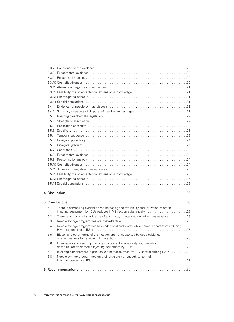|       | 3.3.9 Reasoning by analogy (and according to the control of the control of the control of the control of the c                                                                                                                |  |
|-------|-------------------------------------------------------------------------------------------------------------------------------------------------------------------------------------------------------------------------------|--|
|       |                                                                                                                                                                                                                               |  |
|       |                                                                                                                                                                                                                               |  |
|       |                                                                                                                                                                                                                               |  |
|       |                                                                                                                                                                                                                               |  |
|       |                                                                                                                                                                                                                               |  |
| 3.4   |                                                                                                                                                                                                                               |  |
| 3.4.1 |                                                                                                                                                                                                                               |  |
| 3.5   |                                                                                                                                                                                                                               |  |
| 3.5.1 |                                                                                                                                                                                                                               |  |
| 3.5.2 |                                                                                                                                                                                                                               |  |
| 3.5.3 |                                                                                                                                                                                                                               |  |
| 3.5.4 |                                                                                                                                                                                                                               |  |
| 3.5.5 |                                                                                                                                                                                                                               |  |
| 3.5.6 | Biological gradient (and according to the control of the control of the control of the control of the control of the control of the control of the control of the control of the control of the control of the control of the |  |
| 3.5.7 |                                                                                                                                                                                                                               |  |
| 3.5.8 |                                                                                                                                                                                                                               |  |
| 3.5.9 |                                                                                                                                                                                                                               |  |
|       |                                                                                                                                                                                                                               |  |
|       |                                                                                                                                                                                                                               |  |
|       | 3.5.12 Feasibility of implementation, expansion and coverage entirstance entirst contained as $25$                                                                                                                            |  |
|       |                                                                                                                                                                                                                               |  |
|       | 3.5.14 Special populations (and according to the control of the control of the control of the control of the c                                                                                                                |  |
|       |                                                                                                                                                                                                                               |  |
|       |                                                                                                                                                                                                                               |  |
|       |                                                                                                                                                                                                                               |  |
| 5.1   | There is compelling evidence that increasing the availability and utilization of sterile<br>injecting equipment by IDUs reduces HIV infection substantially 28                                                                |  |
| 5.2   | There is no convincing evidence of any major, unintended negative consequences 28                                                                                                                                             |  |
| 5.3   |                                                                                                                                                                                                                               |  |
| 5.4   | Needle syringe programmes have additional and worth while benefits apart from reducing                                                                                                                                        |  |
| 5.5   | Bleach and other forms of disinfection are not supported by good evidence                                                                                                                                                     |  |
| 5.6   | Pharmacies and vending machines increase the availability and probably                                                                                                                                                        |  |
| 5.7   |                                                                                                                                                                                                                               |  |
| 5.8   | Needle syringe programmes on their own are not enough to control                                                                                                                                                              |  |
|       |                                                                                                                                                                                                                               |  |
|       |                                                                                                                                                                                                                               |  |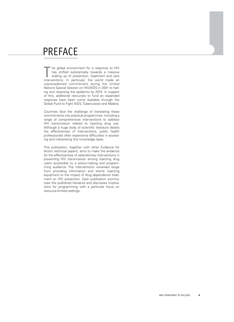## PREFACE

 $\overline{\phantom{a}}$  he global environment for a response to HIV has shifted substantially towards a massive scaling up of prevention, treatment and care The global environment for a response to HIV<br>has shifted substantially towards a massive<br>scaling up of prevention, treatment and care<br>interventions. In particular, the world made an unprecedented commitment during the United Nations Special Session on HIV/AIDS in 2001 to halting and reversing the epidemic by 2015. In support of this, additional resources to fund an expanded response have been come available through the Global Fund to Fight AIDS, Tuberculosis and Malaria.

Countries face the challenge of translating these commitments into practical programmes, including a range of comprehensive interventions to address HIV transmission related to injecting drug use. Although a huge body of scientific literature details the effectiveness of interventions, public health professionals often experience difficulties in accessing and interpreting this knowledge base.

This publication, together with other Evidence for Action technical papers, aims to make the evidence for the effectiveness of selected key interventions in preventing HIV transmission among injecting drug users accessible to a policy-making and programming audience. The interventions reviewed range from providing information and sterile injecting equipment to the impact of drug dependence treatment on HIV prevention. Each publication summarizes the published literature and discusses implications for programming with a particular focus on resource-limited settings.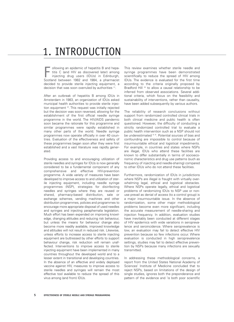## 1. INTRODUCTION

ollowing an epidemic of hepatitis B and hepatitis C (and HIV as discovered later) among injecting drug users (IDUs) in Edinburgh, ollowing an epidemic of hepatitis B and hepatitis C (and HIV as discovered later) among injecting drug users (IDUs) in Edinburgh, Scotland between 1982 and 1984, a pharmacist decided to provide sterile injecting equipment, a decision that was soon overruled by authorities (1).

After an outbreak of hepatitis B among IDUs in Amsterdam in 1983, an organization of IDUs asked municipal health authorities to provide sterile injection equipment (2). This request was initially rejected but the decision was soon reversed, allowing for the establishment of the first official needle syringe programme in the world. The HIV/AIDS pandemic soon became the rationale for this programme and similar programmes were rapidly established in many other parts of the world. Needle syringe programmes now operate officially in over 40 countries. Evaluation of the effectiveness and safety of these programmes began soon after they were first established and a vast literature was rapidly generated.

Providing access to and encouraging utilization of sterile needles and syringes for IDUs is now generally considered to be a fundamental component of any comprehensive and effective HIV-prevention programme. A wide variety of measures have been developed to improve access to and utilization of sterile injecting equipment, including needle syringe programmes (NSP), strategies for disinfecting needles and syringes where they are reused or shared, pharmacy-based distribution, sale or exchange schemes, vending machines and other distribution programmes, policies and programmes to encourage more appropriate disposal of used needles and syringes and injecting paraphernalia legislation. Much effort has been expended on improving knowledge, changing attitudes and reducing risk behaviour, but unless the means for behaviour change also become more readily available, improved knowledge and attitudes will not result in reduced risk. Likewise, unless efforts to increase access to sterile injecting equipment are buttressed by other efforts to support behaviour change, risk reduction will remain unaffected. Interventions to improve access to sterile injecting equipment have been implemented in many countries throughout the developed world and to a lesser extent in transitional and developing countries. In the absence of an effective and widely deployed vaccine against HIV, measures to improve access to sterile needles and syringes will remain the most effective tool available to reduce the spread of this virus among (and from) IDUs.

This review examines whether sterile needle and syringe programmes have been demonstrated scientifically to reduce the spread of HIV among IDUs. The evidence is evaluated for the first time according to the criteria originally proposed by Bradford Hill <sup>(3)</sup> to allow a causal relationship to be inferred from observed associations. Several additional criteria, which focus on the feasibility and sustainability of interventions, rather than causality, have been added subsequently by various authors.

The reliability of research conclusions without support from randomized controlled clinical trials in both clinical medicine and public health is often questioned. However, the difficulty of conducting a strictly randomized controlled trial to evaluate a public health intervention such as a NSP should not be underestimated (4, 5). Potential sources of bias and confounding are impossible to control because of insurmountable ethical and logistical impediments. For example, in countries and states where NSPs are illegal, IDUs who attend these facilities are known to differ substantially in terms of socioeconomic characteristics and drug use patterns (such as frequency of injecting and needle-sharing) compared to other IDUs who do not attend these facilities.

Furthermore, randomization of IDUs in jurisdictions where NSPs are illegal is fraught with virtually overwhelming legal, ethical and logistical obstacles. Where NSPs operate legally, ethical and logistical problems of randomizing IDUs to NSP use or nonuse prevail as denial of access (to a control group) is a major insurmountable issue. In the absence of randomization, some other major methodological problems become even more significant, including the accurate measurement of needle-sharing and injection frequency. In addition, evaluation studies have inevitably been conducted at different stages of HIV epidemics with wide variations in seroprevalence and seroincidence. Where seroprevalence is low, an evaluation may fail to detect effective HIV prevention because so few infections occur. Where evaluation is conducted in high seroprevalence settings, studies may fail to detect effective prevention by NSPs because many infections are sexually transmitted.

In addressing these methodological concerns, a report from the United States National Academy of Sciences' Institute of Medicine concluded that to reject NSPs, based on limitations of the design of single studies, ignores both the preponderance and pattern of the evidence and 'is both poor scientific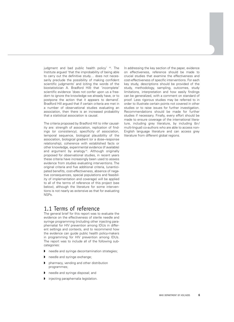judgment and bad public health policy' (6). The Institute argued 'that the improbability of being able to carry out the definitive study… does not necessarily preclude the possibility of making confident scientific judgments' and (citing the words of the biostatistician A. Bradford Hill) that 'incomplete' scientific evidence 'does not confer upon us a freedom to ignore the knowledge we already have, or to postpone the action that it appears to demand'. Bradford Hill argued that if certain criteria are met in a number of observational studies evaluating an association, then there is an increased probability that a statistical association is causal.

The criteria proposed by Bradford Hill to infer causality are: strength of association, replication of findings (or consistency), specificity of association, temporal sequence, biological plausibility of the association, biological gradient (or a dose–response relationship), coherence with established facts or other knowledge, experimental evidence (if available) and argument by analogy<sup>(3)</sup>. Although originally proposed for observational studies, in recent years these criteria have increasingly been used to assess evidence from studies evaluating interventions. The original criteria and five additional criteria, (unanticipated benefits, cost-effectiveness, absence of negative consequences, special populations and feasibility of implementation and coverage) will be applied to all of the terms of reference of this project (see below), although the literature for some interventions is not nearly as extensive as that for evaluating NSPs.

### 1.1 Terms of reference

The general brief for this report was to evaluate the evidence on the effectiveness of sterile needle and syringe programming (including other injecting paraphernalia) for HIV prevention among IDUs in different settings and contexts, and to recommend how the evidence can guide public health policy-makers in programming for HIV prevention among IDUs. The report was to include all of the following subcategories:

- ◗ needle and syringe decontamination strategies;
- ◗ needle and syringe exchange;
- ◗ pharmacy, vending and other distribution programmes;
- needle and syringe disposal; and
- ◗ injecting paraphernalia legislation.

In addressing the key section of the paper, evidence on effectiveness, reference should be made to crucial studies that examine the effectiveness and cost-effectiveness of specific interventions. For each key study, descriptions should be provided of the study, methodology, sampling, outcomes, study limitations, interpretation and how easily findings can be generalized, with a comment on standard of proof. Less rigorous studies may be referred to in order to illustrate certain points not covered in other studies or to raise issues for further investigation. Recommendations should be made for further studies if necessary. Finally, every effort should be made to ensure coverage of the international literature, including grey literature, by including (bi-/ multi-lingual) co-authors who are able to access non-English language literature and can access grey literature from different global regions.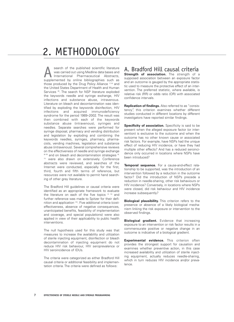## 2. METHODOLOGY

search of the published scientific literature was carried out using Medline data bases and International Pharmaceutical Abstracts, search of the published scientific literature<br>
was carried out using Medline data bases and<br>
International Pharmaceutical Abstracts,<br>
supplemented by online bibliographies such as those produced by the Drug Policy Alliance  $(7, 8)$  and the United States Department of Health and Human Services (9). The search for NSP literature exploded the keywords needle and syringe exchange, HIV infections and substance abuse, intravenous. Literature on bleach and decontamination was identified by exploding the keywords disinfection, HIV infections and acquired immunodeficiency syndrome for the period 1989–2002. The result was then combined with each of the keywords substance abuse (intravenous), syringes and needles. Separate searches were performed for syringe disposal, pharmacy and vending distribution and legislation by exploding and combining the keywords needles, syringes, pharmacy, pharmacists, vending machines, legislation and substance abuse (intravenous). Several comprehensive reviews on the effectiveness of needle and syringe exchange (6-10) and on bleach and decontamination strategies (6, 11) were also drawn on extensively. Conference abstracts were reviewed, and searches of the Internet were conducted, especially for the first, third, fourth and fifth terms of reference, but resources were not available to permit hand searching of other grey literature.

The Bradford Hill guidelines or causal criteria were identified as an appropriate framework to evaluate the literature on each of the five topics  $(3, 12)$  and further reference was made to Spitzer for their definition and application (13). Five additional criteria (costeffectiveness, absence of negative consequences, unanticipated benefits, feasibility of implementation and coverage, and special populations) were also applied in view of their applicability to public health interventions.

The null hypothesis used for this study was that measures to increase the availability and utilization of sterile injecting equipment, disinfection or bleach decontamination of injecting equipment do not reduce HIV risk behaviour, HIV seroprevalence or HIV seroincidence of IDUs.

The criteria were categorized as either Bradford Hill causal criteria or additional feasibility and implementation criteria. The criteria were defined as follows:

### A. Bradford Hill causal criteria

**Strength of association.** The strength of a supposed association between an exposure factor and an outcome is gauged by the appropriate statistic used to measure the protective effect of an intervention. The preferred statistic, where available, is relative risk (RR) or odds ratio (OR) with associated confidence intervals.

**Replication of findings.** Also referred to as "consistency", this criterion examines whether different studies conducted in different locations by different investigators have reported similar findings.

**Specificity of association.** Specificity is said to be present when the alleged exposure factor (or intervention) is exclusive to the outcome and when the outcome has no other known cause or associated risk factors. For example, have NSPs had the unique effect of reducing HIV incidence, or have they had multiple other effects? And has a reduced seroincidence only occurred in locations where NSPs have been introduced?

**Temporal sequence.** For a cause-and-effect relationship to be supported, was the introduction of an intervention followed by a reduction in the outcome factor? Did the introduction of NSPs precede a reduction in needle-sharing, other risk behaviours or HIV incidence? Conversely, in locations where NSPs were closed, did risk behaviour and HIV incidence increase subsequently?

**Biological plausibility.** This criterion refers to the presence or absence of a likely biological mechanism linking the risk exposure or intervention to the observed findings.

**Biological gradient.** Evidence that increasing exposure to an intervention or risk factor results in a commensurate positive or negative change in an outcome is indicative of a biological gradient.

**Experimental evidence.** This criterion often provides the strongest support for causation and examines whether preventive action, in this case increased availability and utilization of sterile injecting equipment, actually reduces needle-sharing, which in turn reduces HIV incidence and/or prevalence.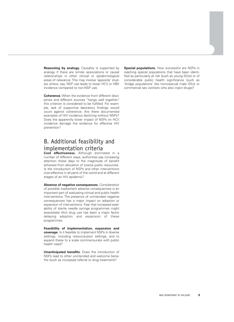**Reasoning by analogy.** Causality is supported by analogy if there are similar associations or causal relationships in other clinical or epidemiological areas of relevance. This may involve 'apposite' studies where, say, NSP use leads to lower HCV or HBV incidence compared to non-NSP use.

**Coherence.** When the evidence from different disciplines and different sources "hangs well together", this criterion is considered to be fulfilled. For example, lack of supportive laboratory findings would count against coherence. Are there documented examples of HIV incidence declining without NSPs? Does the apparently lower impact of NSPs on HCV incidence damage the evidence for effective HIV prevention?

## B. Additional feasibility and implementation criteria

**Cost effectiveness.** Although estimated in a number of different ways, authorities pay increasing attention these days to the magnitude of benefit achieved from allocation of scarce public resources. Is the introduction of NSPs and other interventions cost-effective in all parts of the world and at different stages of an HIV epidemic?

**Absence of negative consequences.** Consideration of possible inadvertent adverse consequences is an important part of evaluating clinical and public health interventions. The presence of unintended negative consequences has a major impact on adoption or expansion of interventions. Fear that increased availability of sterile needle syringe programmes might exacerbate illicit drug use has been a major factor delaying adoption and expansion of these programmes.

**Feasibility of implementation, expansion and coverage.** Is it feasible to implement NSPs in diverse settings, including resource-poor settings, and to expand these to a scale commensurate with public health need?

**Unanticipated benefits.** Does the introduction of NSPs lead to other unintended and welcome benefits (such as increased referral to drug treatment)?

**Special populations**. How successful are NSPs in reaching special populations that have been identified as particularly at risk (such as young IDUs) or of considerable public health significance (such as 'bridge populations' like homosexual male IDUs or commercial sex workers who also inject drugs)?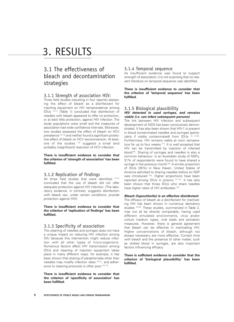## 3. RESULTS

## 3.1 The effectiveness of bleach and decontamination strategies

#### 3.1.1 Strength of association HIV:

Three field studies (resulting in four reports) assessing the effect of bleach as a disinfectant for injecting equipment on HIV seroprevalence among IDUs (14-17) (Table 1) concluded that disinfection of needles with bleach appeared to offer no protection, or at best little protection, against HIV infection. The study populations were small and the measures of association had wide confidence intervals. Moreover, two studies assessed the effect of bleach on HCV prevalence (18, 19) and neither found a significant protective effect of bleach on HCV seroconversion. At best, one of the studies (18) suggests a small (and probably insignificant) reduction of HCV infection.

#### **There is insufficient evidence to consider that the criterion of 'strength of association' has been fulfilled.**

#### 3.1.2 Replication of findings

All three field studies that were identified (14-17) concluded that the use of bleach did not offer adequate protection against HIV infection. (The laboratory evidence, in contrast, suggests disinfection with bleach can, under certain conditions, provide protection against HIV).

**There is insufficient evidence to consider that the criterion of 'replication of findings' has been fulfilled.**

#### 3.1.3 Specificity of association

The cleaning of needles and syringes does not have a unique impact on reducing HIV infection among IDU because this intervention might reduce infection with all other types of micro-organisms. Numerous factors affect HIV transmission among IDUs and cleaning of injection equipment takes place in many different ways: for example, it has been shown that sharing of paraphernalia other than needles may modify infection rates (20-21), and adherence to cleaning protocols is often poor (22, 23).

**There is insufficient evidence to consider that the criterion of 'specificity of association' has been fulfilled.**

#### 3.1.4 Temporal sequence

As insufficient evidence was found to support strength of association; it is not surprising that no relevant literature on temporal sequence was identified.

#### **There is insufficient evidence to consider that the criterion of 'temporal sequence' has been fulfilled.**

#### 3.1.5 Biological plausibility **HIV detected in used syringes, and remains viable (i.e. can infect subsequent persons)**

The link between HIV infection and subsequent development of AIDS has been conclusively demonstrated. It has also been shown that HIV-1 is present in blood contaminated needles and syringes (particularly if visibly contaminated) from IDUs (21, 24-26). Furthermore, HIV remains viable at room temperature for up to four weeks (27). It is well accepted that HIV can be transmitted by injection of infected blood<sup>(28)</sup>. Sharing of syringes and needles is also a common behaviour: in an Australian study of NSPs, 31% of respondents were found to have shared a syringe in the previous month<sup>(29)</sup>. A similar proportion of IDUs (35%) in New Haven, United States of America admitted to sharing needles before an NSP was introduced (30). Higher proportions have been reported among IDUs in prisons (31, 32). It has also been shown that those IDUs who share needles have higher rates of HIV antibodies (33).

#### **Bleach (hypochlorite) is an effective disinfectant**

The efficacy of bleach as a disinfectant for inactivating HIV has been shown in numerous laboratory studies (34-50). These studies, summarized in Table 2, may not all be directly comparable, having used different simulated environments, virus and/or culture medium types, viral loads and activation measures. However, there is general agreement that bleach can be effective in inactivating HIV. Higher concentrations of bleach, although not always necessary, are more effective. Contact time with bleach and the presence of other matter, such as clotted blood in syringes, are also important factors influencing efficacy.

#### **There is sufficient evidence to consider that the criterion of 'biological plausibility' has been fulfilled.**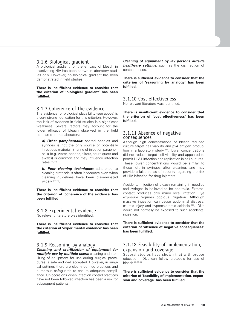#### 3.1.6 Biological gradient

A biological gradient for the efficacy of bleach in inactivating HIV has been shown in laboratory studies only. However, no biological gradient has been demonstrated in field studies.

**There is insufficient evidence to consider that the criterion of 'biological gradient' has been fulfilled.**

#### 3.1.7 Coherence of the evidence

The evidence for biological plausibility (see above) is a very strong foundation for this criterion. However, the lack of evidence in field studies is a significant weakness. Several factors may account for the lower efficacy of bleach observed in the field compared to the laboratory:

a) Other paraphernalia: shared needles and syringes is not the only source of potentially infectious material. Sharing of injection paraphernalia (e.g. water, spoons, filters, tourniquets and swabs) is common and may influence infection rates (20, 21).

**b) Poor cleaning techniques:** adherence to cleaning protocols is often inadequate even when cleaning guidelines have been disseminated widely  $(22, 23)$ .

**There is insufficient evidence to consider that the criterion of 'coherence of the evidence' has been fulfilled.**

#### 3.1.8 Experimental evidence

No relevant literature was identified.

**There is insufficient evidence to consider that the criterion of 'experimental evidence' has been fulfilled.**

#### 3.1.9 Reasoning by analogy

**Cleaning and sterilization of equipment for multiple use by multiple users:** cleaning and sterilizing of equipment for use during surgical procedures is safe and well accepted. However, in surgical settings there are clearly defined practices and numerous safeguards to ensure adequate compliance. On occasions when infection control practices have not been followed infection has been a risk for subsequent patients.

**Cleaning of equipment by lay persons outside healthcare settings:** such as the disinfection of contact lenses.

**There is sufficient evidence to consider that the criterion of 'reasoning by analogy' has been fulfilled.**

#### 3.1.10 Cost effectiveness

No relevant literature was identified.

**There is insufficient evidence to consider that the criterion of 'cost effectiveness' has been fulfilled.**

#### 3.1.11 Absence of negative consequences

Although high concentrations of bleach reduced culture target cell viability and p24 antigen production in a laboratory study (51), lower concentrations did not reduce target cell viability and appeared to permit HIV-1 infection and replication in cell cultures. These lower concentrations would be similar to those left in syringes after cleaning, and may provide a false sense of security regarding the risk of HIV infection for drug injectors.

Accidental injection of bleach remaining in needles and syringes is believed to be non-toxic. External contact produces only minor local irritation. Eye exposure requires copious irrigation. Although massive ingestion can cause abdominal distress, caustic injury and hyperchloremic acidosis (52), IDUs would not normally be exposed to such accidental ingestion.

**There is sufficient evidence to consider that the criterion of 'absence of negative consequences' has been fulfilled.** 

#### 3.1.12 Feasibility of implementation, expansion and coverage

Several studies have shown that with proper education, IDUs can follow protocols for use of bleach (23, 53-55).

**There is sufficient evidence to consider that the criterion of 'feasibility of implementation, expansion and coverage' has been fulfilled.**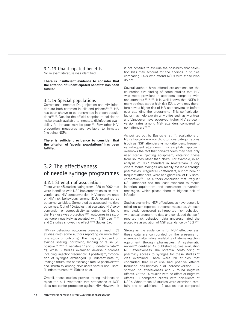#### 3.1.13 Unanticipated benefits

No relevant literature was identified.

#### **There is insufficient evidence to consider that the criterion of 'unanticipated benefits' has been fulfilled.**

#### 3.1.14 Special populations

Correctional inmates: Drug injection and HIV infection are both common in jails and prisons (56, 57). HIV has been shown to be transmitted in prison populations (32, 58). Despite the official adoption of policies to make bleach available to inmates, disinfectant availability for inmates may be poor  $(57)$ . Few other HIVprevention measures are available to inmates (including NSPs).

**There is sufficient evidence to consider that the criterion of 'special populations' has been fulfilled.**

## 3.2 The effectiveness of needle syringe programmes

#### 3.2.1 Strength of association

There were 45 studies dating from 1989 to 2002 that were identified with NSP implementation as an intervention and HIV seroconversion, HIV seroprevalence or HIV risk behaviours among IDUs examined as outcome variables. Some studies assessed multiple outcomes. Out of 10 studies that evaluated HIV seroconversion or seropositivity as outcomes 6 found that NSP use was protective<sup>(59-64)</sup>; outcomes in 2 studies were negatively associated with NSP use (65, 66) and 2 studies showed no effect<sup> $(67, 68)$ </sup> (Tables 3a-c).

HIV risk behaviour outcomes were examined in 33 studies (with some authors reporting on more than one study or outcome). The majority focused on syringe sharing, borrowing, lending or reuse (23 positive (63, 69-90), 1 negative (91) and 5 indeterminate (92-96)), while 6 studies examined diverse outcomes including 'injection frequency' (1 positive)<sup>(73)</sup>, 'proportion of syringes exchanged' (1 indeterminate) (97), 'syringe return rate or exchange rate' (3 positive) (98-100) and 'mortality among NSP users versus non-users' (1 indeterminate) (101) (Tables 4a-c).

Overall, these studies provide strong evidence to reject the null hypothesis that attendance at NSP does not confer protection against HIV. However, it is not possible to exclude the possibility that selection bias may account for the findings in studies comparing IDUs who attend NSPs with those who do not.

Several authors have offered explanations for the counterintuitive finding of some studies that HIV was more prevalent in attenders compared with non-attenders (67, 102-105). It is well known that NSPs in many settings attract high-risk IDUs, who may therefore have a higher risk of HIV seroconversion before ever attending the programme. This self-selection factor may help explain why cities such as Montreal and Vancouver have observed higher HIV seroconversion rates among NSP attenders compared to non-attenders<sup>(67, 106)</sup>.

As pointed out by Bastos et al. (103), evaluations of NSPs typically employ dichotomous categorizations (such as NSP attenders vs non-attenders, frequent vs infrequent attenders). This simplistic approach overlooks the fact that non-attenders may have only used sterile injecting equipment, obtaining these from sources other than NSPs. For example, in an analysis of NSP attenders in Amsterdam, a city where sterile syringes are readily available through pharmacies, irregular NSP attenders, but not non- or frequent attenders, were at highest risk of HIV seroconversion (96). The authors concluded that irregular NSP attenders had the least exposure to sterile injection equipment and consistent prevention messages, which placed them at highest risk of infection.

Studies examining NSP effectiveness have generally relied on self-reported outcome measures. At least one study compared self-reported risk behaviour with actual programme data and concluded that selfreported risk behaviour data underestimated the protective association of NSP attendance by 18% (107).

Strong as the evidence is for NSP effectiveness, these data are confounded by the presence or absence of alternative availability of sterile injecting equipment through pharmacies. A systematic review (10) identified 42 published studies evaluating NSP effectiveness. The potential confounding of pharmacy access to syringes for these studies (89) was examined. There were 28 studies that concluded that NSP use had positive effects (reduced risk-behaviour or seroconversion), 12 showed no effectiveness and 2 found negative effects. Of the 14 studies with no effect or negative effects 13 compared clients with non-clients of NSPs. When these 13 studies were examined carefully and an additional 12 studies that compared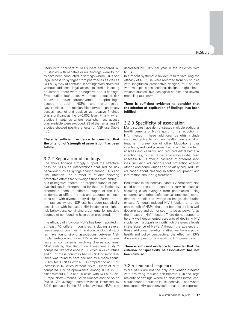users with nonusers of NSPs were considered, all 13 studies with negative or null findings were found to have been conducted in settings where IDUs had legal access to syringes from pharmacies as well as NSPs. By way of contrast, in settings with NSPs but without additional legal access to sterile injecting equipment, there were no negative or null findings. Five studies found positive effects (reduced risk behaviour and/or seroconversion) despite legal access through NSPs and pharmacies. Nevertheless, the relationship between pharmacy access (yes/no) and positive vs negative findings was significant at the p=0.002 level. Finally, when studies in settings where legal pharmacy access was available were excluded, 23 of the remaining 24 studies showed positive effects for NSP use (Table  $4d.$ 

#### **There is sufficient evidence to consider that the criterion of 'strength of association' has been fulfilled.**

#### 3.2.2 Replication of findings

The above findings strongly support the effectiveness of NSPs as interventions that reduce risk behaviour such as syringe sharing among IDUs and HIV infection. The number of studies showing protective effects far outweighs those with ambiguous or negative effects. The preponderance of positive findings is strengthened by their replication by different authors, at different stages of the HIV epidemic, at different times and geographical locations and with diverse study designs. Furthermore, in instances where NSP use has been statistically associated with increased HIV incidence or higherrisk behaviours, convincing arguments for possible sources of confounding have been presented.

The efficacy of individual NSPs has been reported in at least 10 different countries, including several resource-poor countries. In addition, ecological studies have found strong associations between NSP implementation and lower HIV incidence and prevalence in comparisons involving diverse countries. Most notably, the Return on Investment study (64) compared HIV prevalence in 103 cities in 24 countries and 16 of these countries had NSPs. HIV seroprevalence was found to have declined by a mean annual 18.6% for 36 cities with NSPs compared to an 8.1% increase in 67 cities without NSPs. Hurley et al. (62) compared HIV seroprevalence among IDUs in 52 cities without NSPs and 29 cities with NSPs in Asia, Europe, North America, South America and the South Pacific. On average, seroprevalence increased by 5.9% per year in the 52 cities without NSPs and decreased by 5.8% per year in the 29 cities with NSPs.

In a recent systematic review, results favouring the efficacy of NSP use were recorded from six studies with longitudinal/prospective designs, four studies with multiple cross-sectional designs, eight observational studies, five ecological studies and several modelling studies<sup>(10)</sup>.

#### **There is sufficient evidence to consider that the criterion of 'replication of findings' has been fulfilled.**

#### 3.2.3 Specificity of association

Many studies have demonstrated multiple additional health benefits of NSPs apart from a reduction in HIV infection. These additional benefits include improved entry to primary health care and drug treatment, prevention of other blood-borne viral infections, reduced proximal bacterial infection (e.g. abscess and cellulitis) and reduced distal bacterial infection (e.g. subacute bacterial endocarditis, brain abscess). NSPs offer a 'package' of different services, including education about protection against other blood-borne viruses and sexually acquired HIV, education about cleaning injection equipment and information about drug treatment.

Reductions in risk behaviour and HIV seroconversion could be the result of these other services (such as acquiring clean syringes from pharmacies, using condoms and other safer sexual practices) rather than the needle and syringe exchange, distribution or sale. Although reduced HIV infection is not the only benefit of NSPs, the other benefits are less well documented and do not seem to be as powerful as the impact on HIV infection. There do not appear to be any well documented accounts of declining HIV incidence in a population with high prevalence levels in the absence of NSPs. Although the existence of these additional benefits is attractive from a public health and policy perspective, the effect of NSPs does not appear to be specific to HIV prevention.

#### **There is sufficient evidence to consider that the criterion of 'specificity of association' has not been fulfilled.**

#### 3.2.4 Temporal sequence

While NSPs are not the only intervention credited with achieving reduced risk behaviour, in the large majority of settings where an NSP was introduced, a subsequent reduction in risk behaviour, and where measured, HIV seroconversion, has been reported.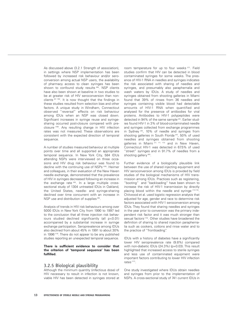As discussed above (3.2.1 Strength of association), in settings where NSP implementation has been followed by increased risk behaviour and/or seroconversion among actual NSP users, the availability of pharmacy access to clean syringes has been shown to confound study results (89). NSP clients have also been shown at baseline in two studies to be at greater risk of HIV seroconversion than nonclients (67, 106). It is now thought that the findings in these studies resulted from selection bias and other factors. A unique study in Windham, Connecticut observed "reversal" effects on risk behaviour among IDUs when an NSP was closed down. Significant increases in syringe reuse and syringesharing occurred post-closure compared with preclosure (108). Any resulting change in HIV infection rates was not measured. These observations are consistent with the expected direction of temporal sequence.

A number of studies measured behaviour at multiple points over time and all supported an appropriate temporal sequence. In New York City, 584 IDUs attending NSPs were interviewed on three occasions and HIV drug risk behaviour was found to decline with the continuing use of NSPs (109). Heimer and colleagues, in their evaluation of the New Haven needle exchange, demonstrated that the prevalence of HIV in syringes decreased following an increase in the exchange rate (60). In a large multiple crosssectional study of 1304 untreated IDUs in Oakland, the United States, needle- and syringe-sharing declined over time concurrent with an increase in NSP use and distribution of supplies (85).

Analysis of trends in HIV risk behaviours among over 5000 IDUs in New York City from 1990 to 1997 led to the conclusion that all three injection risk behaviours studied declined significantly (all p<0.01) accompanied by a substantial increase in syringe exchange participation. Seroprevalence among IDUs also declined from about 45% in 1991 to about 30% in 1996 (110). There do not appear to be any published studies reporting an unexpected temporal sequence.

#### **There is sufficient evidence to consider that the criterion of 'temporal sequence' has been fulfilled.**

#### 3.2.5 Biological plausibility

Although the minimum quantity (infectious dose) of HIV necessary to result in infection is not known, viable HIV has been detected in syringes stored at room temperature for up to four weeks<sup>(27)</sup>. Field studies confirm that HIV can be detected in blood contaminated syringes for some weeks. The presence of HIV-1 RNA in needles and syringes indicates the risk associated with sharing of needles and syringes, and presumably also paraphernalia and wash waters by IDUs. A study of needles and syringes obtained from shooting galleries in Miami found that 39% of rinses from 36 needles and syringes containing visible blood had detectable amounts of HIV-1 RNA when quantified and analysed for the presence of antibodies for viral proteins. Antibodies to HIV-1 polypeptides were detected in 94% of the same sample<sup>(25)</sup>. Earlier studies found HIV-1 in 3% of blood-contaminated needle and syringes collected from exchange programmes in Sydney<sup>(26)</sup>, 10% of needle and syringes from shooting galleries in South Florida<sup>(24)</sup>, 50% of used needles and syringes obtained from shooting galleries in Miami (21, 111, 112) and in New Haven, Connecticut HIV-1 was detected in 67.5% of used "street" syringes and in 91.7% of needles from a shooting gallery<sup>(60)</sup>.

Further evidence of a biologically plausible link between the use of shared injecting equipment and HIV seroconversion among IDUs is provided by field studies of the biological mechanisms of HIV transmission among IDUs. Practices such as registering, "booting" and "backloading" have been shown to increase the risk of HIV-1 transmission by directly placing blood within the needle and syringe (113-115). Chitwood et al. used logistic regression analysis that adjusted for age, gender and race to determine risk factors associated with HIV-1 seroconversion among IDUs. They found that sharing needles and syringes in the year prior to conversion was the primary independent risk factor and it was much stronger than sexual factors (116). Other studies have broadened the definition of sharing to shared injection paraphernalia such as cookers, cottons and rinse water and to the practice of "frontloading".

IDUs with a history of diabetes have a significantly lower HIV seroprevalence rate (9.8%) compared with non-diabetic IDUs (24.3%) (p=0.03). This result highlighted that increased access to sterile syringes and less use of contaminated equipment were important factors contributing to lower HIV infection rates<sup>(117)</sup>.

One study investigated where IDUs obtain needles and syringes from prior to the implementation of NSPs. A cross-sectional study of 741 current IDUs in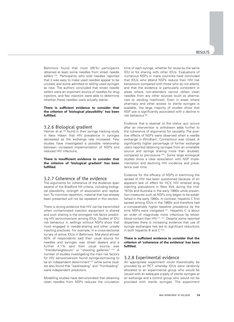Baltimore found that most (85%) participants obtained at least some needles from street needle sellers<sup>(118)</sup>. Participants who sold needles reported that it was easy to make used needles appear to be unused, and some admitted to selling used syringes as new. The authors concluded that street needle sellers were an important source of needles for drug injectors, and few injectors were able to determine whether these needles were actually sterile.

#### **There is sufficient evidence to consider that the criterion of 'biological plausibility' has been fulfilled.**

#### 3.2.6 Biological gradient

Heimer et al. <sup>(60)</sup> found in their syringe tracking study in New Haven that HIV prevalence in syringes decreased as the exchange rate increased. Few studies have investigated a possible relationship between increased implementation of NSPs and reduced HIV infections.

**There is insufficient evidence to consider that the criterion of 'biological gradient' has been fulfilled.**

#### 3.2.7 Coherence of the evidence

The arguments for coherence of the evidence span several of the Bradford Hill criteria, including biological plausibility, strength of association and replication. To minimize repetition, material that has already been presented will not be repeated in this section.

There is strong evidence that HIV can be transmitted when contaminated injection equipment is shared and such sharing is the strongest risk factor predicting HIV seroconversion among IDUs. Studies of IDU risk behaviour in settings without NSPs show that most engaged in needle-sharing and other unsafe injecting practices. For example, in a cross-sectional survey of active IDUs in Baltimore, Maryland almost 50% of respondents said their usual source for needles and syringes was street dealers and a further 4.1% said their usual source was "friends/neighbours" or "shooting galleries"<sup>(119)</sup>. A number of studies investigating the main risk factors for HIV seroconversion found syringe-borrowing to be an independent determinant<sup>(120)</sup> while some studies also found that "backloading" and "frontloading" were independent predictors.

Modelling studies have demonstrated that obtaining clean needles from NSPs reduces the circulation time of each syringe, whether for reuse by the same IDU or for sharing with other IDUs. Evaluations of numerous NSPs in many countries have concluded that IDUs who attend NSPs reduce their HIV risk behaviours compared with those who do not attend, and that the evidence is particularly consistent in areas where non-attenders cannot obtain clean needles from any other sources (such as pharmacies or vending machines). Even in areas where pharmacy and other access to sterile syringes is available, the large majority of studies show that NSP use is significantly associated with a decline in risk behaviour<sup>(89)</sup>.

Evidence that a reversal to the status quo occurs after an intervention is withdrawn adds further to the coherence of arguments for causality. The positive effects of NSPs were observed when a needle exchange in Windham, Connecticut was closed. A significantly higher percentage of former exchange users reported obtaining syringes from an unreliable source and syringe sharing more than doubled, compared to pre-closure (108). Some large ecological studies show a clear association with NSP implementation and declining HIV incidence and prevalence over time.

Evidence for the efficacy of NSPs in stemming the spread of HIV has been questioned because of an apparent lack of effect for HCV. HIV entered drug injecting populations in New York during the mid-1970s and Australia in the early 1980s while prevention measures such as NSPs only began to be established in the early 1980s. In contrast, hepatitis C first spread among IDUs in the 1960s and therefore had a comparatively higher baseline prevalence by the time NSPs were instigated (121). Hepatitis C is about an order of magnitude more infectious by bloodblood contact than HIV<sup>(121, 122)</sup>. Despite some reported disparities there is increasing evidence that use of syringe exchanges has led to significant reductions in both hepatitis B and  $C^{(123)}$ .

#### **There is sufficient evidence to consider that the criterion of 'coherence of the evidence' has been fulfilled.**

#### 3.2.8 Experimental evidence

An appropriate experiment could theoretically be provided by an RCT whereby IDUs were randomly allocated to an experimental group who would be issued with an adequate supply of sterile syringes at an exchange and a control group who would not be provided with sterile syringes. The experiment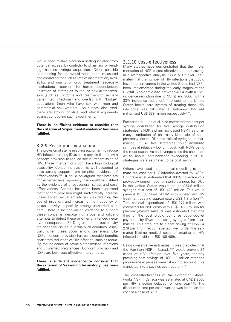would need to take place in a setting isolated from potential access (by controls) to pharmacy or vending machine syringe acquisition. Other possible confounding factors would need to be measured and controlled for such as rate of incarceration, availability and quality of drug treatment (especially methadone treatment for heroin dependence), utilization of strategies to reduce sexual transmission (such as condoms and treatment of sexually transmitted infections) and overlap with "bridge" populations (men who have sex with men and commercial sex workers). As already discussed, there are strong logistical and ethical arguments against conducting such experiments.

#### **There is insufficient evidence to consider that the criterion of 'experimental evidence' has been fulfilled.**

#### 3.2.9 Reasoning by analogy

The provision of sterile injecting equipment to reduce HIV infection among IDUs has many similarities with condom provision to reduce sexual transmission of HIV. These interventions both have high biological plausibility. Condom provision is well accepted to have strong support from empirical evidence of effectiveness<sup>(124)</sup>. It could be argued that both are implemented less vigorously than would be justified by the evidence of effectiveness, safety and costeffectiveness. Concern has often been expressed that condom provision might inadvertently increase unsanctioned sexual activity such as reducing the age of initiation, and increasing the frequency of sexual activity, especially among unmarried partners. There is no convincing evidence to support these concerns despite numerous and diligent attempts to detect these or other unintended negative consequences (124). Drug use and sexual activity are sensitive issues in virtually all countries, especially when these occur among teenagers. Like NSPs, condom provision has considerable benefits apart from reduction of HIV infection, such as reducing the incidence of sexually transmitted infections and unwanted pregnancies. Condom provision and NSPs are both cost-effective interventions.

#### **There is sufficient evidence to consider that the criterion of 'reasoning by analogy' has been fulfilled.**

#### 3.2.10 Cost-effectiveness

Many studies have demonstrated that the implementation of NSP is cost-effective and cost-saving. In a retrospective analysis, Lurie & Drucker estimated that the number of HIV infections that could have been prevented in the United States had NSPs been implemented during the early stages of the HIV/AIDS epidemic was between 4394 (with a 15% incidence reduction due to NSPs) and 9666 (with a 33% incidence reduction). The cost to the United States health care system of treating these HIV infections was calculated at between US\$ 244 million and US\$ 538 million respectively<sup>(102)</sup>.

Furthermore, Lurie et al. also estimated the cost per syringe distributed for five syringe distribution strategies (a NSP, a pharmacy-based NSP, free pharmacy distribution of pharmacy kits, sale of such pharmacy kits to IDUs and sale of syringes in phar-.<br>macies)<sup>(125)</sup>. All five strategies could distribute syringes at relatively low unit cost, with NSPs being the most expensive and syringe sales the cheapest. At an annual seroincidence exceeding 2.1% all strategies were estimated to be cost saving.

Others have used mathematical modelling to estimate the cost per HIV infection averted by NSPs. Holtgrave et al. estimated that 100% coverage of a previously unmet need for sterile syringes for IDUs in the United States would require 954.8 million syringes at a cost of US\$ 423 million. This would prevent 12 350 cases of HIV, with subsequent HIV treatment costing approximately US\$ 1.3 billion (126). Total societal expenditure of US\$ 277 million was estimated for NSP costs with US\$ 145.8 million for pharmacy-based sales. It was estimated that one third of the cost would comprise out-of-pocket payments by IDUs purchasing syringes from pharmacies. This amounts to a cost saving of US\$ 34 278 per HIV infection averted, well under the estimated lifetime medical costs of treating an HIV infected individual (US\$ 108 469).

Using conservative estimates, it was predicted that the Hamilton NSP in Canada<sup>(127)</sup> would prevent 24 cases of HIV infection over five years, thereby providing cost savings of US\$ 1.3 million after the programme expenses were taken into account. This translates into a savings cost ratio of 4:1.

The cost-effectiveness of the Edmonton Streetworks NSP in Canada was estimated at CAD\$ 9500 per HIV infection delayed for one year (128). The discounted cost per case averted was less than the cost of a case of AIDS.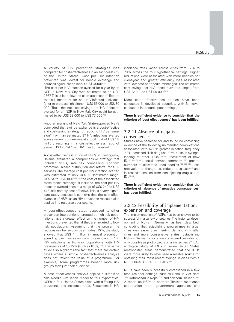A variety of HIV prevention strategies was compared for cost-effectiveness in an east coast city of the United States. Cost per HIV infection prevented was lowest for needle exchange and counselling/education (about US\$ 4000) (129).

The cost per HIV infection averted for a year by an NSP in New York City was estimated to be US\$ 2667. This is far below the estimated cost of lifetime medical treatment for one HIV-infected individual (prior to protease inhibitors)—US\$ 56 000 to US\$ 80 000. Thus, the net cost savings per HIV infection averted for an NSP in New York City could be estimated to be US\$ 53 000 to US\$ 77 000 (130).

Another analysis of New York State-approved NSPs concluded that syringe exchange is a cost-effective and cost-saving strategy for reducing HIV transmission<sup>(131)</sup> with an estimated 87 HIV infections averted across seven programmes at a total cost of US\$ 1.8 million, resulting in a cost-effectiveness ratio of almost US\$ 20 947 per HIV infection averted.

A cost-effectiveness study of NSPs in Svetlogorsk, Belarus evaluated a comprehensive strategy that included NSPs, safe sex counselling, condom promotion, bleach distribution and referral for STD services. The average cost per HIV infection averted was estimated at only US\$ 68 (estimated range: US\$ 54 to US\$ 100)<sup>(132)</sup>. If the cost of the associated mass-media campaign is included, the cost per HIV infection averted rises to a range of US\$ 240 to US\$ 442, still notably cost-effective. This is a very significant study because it confirms that the cost-effectiveness of NSPs as an HIV prevention measure also applies in a resource-poor setting.

A cost-effectiveness study assessed whether prevention interventions targeted at high-risk populations have a greater effect on the number of HIV infections prevented than if they are targeted to lowrisk populations. Assuming that the programme reduces risk behaviours by a modest 10%, the study showed that US\$ 1 million in annual prevention spending over five years could prevent about 100 HIV infections in high-risk populations with HIV prevalences of 10-15% (such as IDUs)<sup>(133)</sup>. The same study also highlights the fact that there are certain cases where a simple cost-effectiveness analysis does not reflect the value of a programme. For example, some programmes benefit more risk groups than just their audience.

A cost effectiveness analysis applied a simplified Yale Needle Circulation Model to four hypothetical NSPs in four United States cities with differing HIV prevalence and incidence rates. Reductions in HIV incidence rates varied across cities from 17% to 70% across the four hypothetical settings. Higher reductions were associated with more needles per client-year and greater efficiency was associated with low cost per needle exchanged. The estimated cost savings per HIV infection averted ranged from US\$ 12 000 to US\$ 99 000 (134).

Most cost effectiveness studies have been conducted in developed countries, with far fewer conducted in resource-poor settings.

#### **There is sufficient evidence to consider that the criterion of 'cost effectiveness' has been fulfilled.**

#### 3.2.11 Absence of negative consequences

Studies have searched for and found no convincing evidence of the following unintended complications associated with NSPs: greater injection frequency  $(69, 73)$ , increased illicit drug use<sup> $(135, 136)$ </sup>, a rise in syringelending to other IDUs  $(67, 69)$ , recruitment of new IDUs (60, 73, 137), social network formation (138), greater numbers of discarded used needles (108, 139, 140), less motivation to change, i.e. reduce, drug use (141) and increased transition from non-injecting drug use to IDU (136).

**There is sufficient evidence to consider that the criterion of 'absence of negative consequences' has been fulfilled.**

#### 3.2.12 Feasibility of implementation, expansion and coverage

The implementation of NSPs has been shown to be successful in a variety of settings. The historical development of NSPs in Germany has been described, concluding that establishing programmes in larger cities was easier than meeting demand in smaller cities and more conservative states. Establishing NSPs in German prisons was considered desirable but only possible as pilot projects on a limited basis<sup>(142)</sup>. An ecological study of IDUs in seven United States metropolitan areas demonstrated that the IDUs were more likely to have used a reliable source for obtaining their most recent syringe in cities with a NSP (OR=5.3; 95% CI 3.3-8.5) (84).

NSPs have been successfully established in a few resource-poor settings, such as Hanoi in Viet Nam (143), Kathmandu in Nepal (77), and northern Thailand (144). A report on NSPs in northern Thailand mentioned cooperation from government agencies and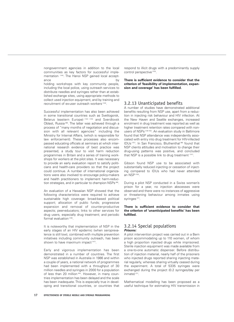nongovernment agencies in addition to the local communities as key factors for successful implementation (144). The Hanoi NSP gained local acceptance by the bytan by the bytan by the bytan by the bytan by the bytan by the bytan by the bytan by the bytan b

holding workshops with key community people, including the local police, using outreach services to distribute needles and syringes rather than at established exchange sites, using appropriate methods to collect used injection equipment, and by training and recruitment of ex-user outreach workers (143).

Successful implementation has also been achieved in some transitional countries such as Svetlogorsk, Belarus (eastern Europe) (132) (145) and Sverdlovsk Oblast, Russia (88). The latter was achieved through a process of "many months of negotiation and discussion with all relevant agencies" including the Ministry for Internal Affairs, (which is responsible for law enforcement). These processes also encompassed educating officials at seminars at which international research evidence of best practice was presented, a study tour to visit harm reduction programmes in Britain and a series of training workshops for workers at the pilot sites. It was necessary to provide an early evaluation report to satisfy politicians and health-care providers so that the project could continue. A number of international organizations were also involved to encourage policy-makers and health practitioners to implement harm-reduction strategies, and in particular to champion NSPs<sup>(88)</sup>.

An evaluation of a Hawaiian NSP showed that the following characteristics were required to achieve sustainable high coverage: broad-based political support; allocation of public funds; progressive expansion and removal of counter-productive aspects; peer-educators; links to other services for drug users, especially drug treatment; and periodic formal evaluation (146).

It is noteworthy that implementation of NSP in the early stages of an HIV epidemic (when seroprevalence is still low), combined with multiple prevention initiatives including community outreach, has been shown to have maximum impact (147).

Early and vigorous implementation has been demonstrated in a number of countries. The first NSP was established in Australia in 1986 and within a couple of years, a national network of programmes had been implemented with a throughput of 30 million needles and syringes in 2000 for a population of less than 20 million (64). However, in many countries implementation has been delayed and the scale has been inadequate. This is especially true in developing and transitional countries, or countries that

respond to illicit drugs with a predominantly supply control perspective (103).

**There is sufficient evidence to consider that the criterion of 'feasibility of implementation, expansion and coverage' has been fulfilled.**

#### 3.2.13 Unanticipated benefits

A number of studies have demonstrated additional benefits resulting from NSP use, apart from a reduction in injecting risk behaviour and HIV infection. At the New Haven and Seattle exchanges, increased enrolment in drug treatment was reported as well as higher treatment retention rates compared with nonusers of NSPs (148-150). An evaluation study in Baltimore found that NSP attendance was independently associated with entry into drug treatment for HIV-infected IDUs (151). In San Francisco, Bluthenthal (86) found that NSP clients attitudes and motivation to change their drug-using patterns was positive, and concluded that NSP is a possible link to drug treatment (141).

Gibson found NSP use to be associated with substantially reduced injecting or cessation of injecting compared to IDUs who had never attended an NSP<sup>(150)</sup>.

During a pilot NSP conducted in a Swiss women's prison for a year, no injection abscesses were observed and there were no instances of aggressive or threatening behaviour among inmates using syringes<sup>(31)</sup>.

#### **There is sufficient evidence to consider that the criterion of 'unanticipated benefits' has been fulfilled.**

#### 3.2.14 Special populations **Prisons:**

A pilot intervention project was carried out in a Bern prison accommodating up to 110 women, of whom a high proportion injected drugs while imprisoned. Sterile injection equipment was made available from a one-to-one automatic dispenser. Before distribution of injection material, nearly half of the prisoners who injected drugs reported sharing injecting material regularly, whereas sharing virtually ceased during the experiment. A total of 5335 syringes were exchanged during the project (0.2 syringes/day per inmate)<sup>(31)</sup>.

Mathematical modelling has been proposed as a useful technique for estimating HIV transmission in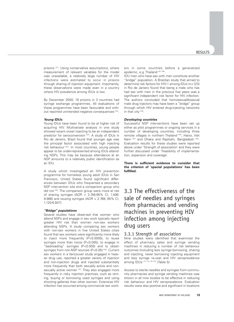prisons (57). Using conservative assumptions, where measurement of relevant variables for the model was unavailable, a relatively large number of HIV infections were estimated to occur in prisons through sharing of injection equipment. Importantly, these observations were made even in a country where HIV prevalence among IDUs is low.

By December 2000, 19 prisons in 3 countries had syringe exchange programmes. All evaluations of these programmes have been favourable and without reported unintended negative consequences (152).

#### **Young IDUs:**

Young IDUs have been found to be at higher risk of acquiring HIV. Multivariate analysis in one study showed recent onset injecting to be an independent predictor for seroconversion (153). A study of IDUs in Rio de Janeiro, Brazil found that younger age was the principal factor associated with high injecting risk behaviour (154). In most countries, young people appear to be under-represented among IDUs attending NSPs. This may be because attendance at an NSP amounts to a relatively public identification as an IDU.

A study which investigated an HIV prevention programme for homeless young adult IDUs in San Francisco, United States found significant differences between IDUs who frequented a secondary NSP intervention site and a comparison group who did not (155). The comparison group were more at risk of sharing syringes (AOR = 3.748;95% CI, 1.406- 9.988) and reusing syringes (AOR = 2.769; 95% CI, 1.120-6.847).

#### **"Bridge" populations**

Several studies have observed that women who attend NSPs and engage in sex work typically report greater HIV risk than women non-sex workers attending NSPs. A study comparing sex workers with non-sex workers in five United States cities found that sex workers were significantly more likely to inject more frequently (P<0.0005), to reuse syringes more than twice (P<0.005), to engage in "backloading" syringes (P<0.005) and to obtain syringes from non-NSP sources (P<0.05)<sup>(156)</sup>. Current sex workers in a Vancouver study engaged in heavier drug use, reported a greater variety of injection and non-injection drugs and injected substantially more frequently than both sexually active and nonsexually active women (67). They also engaged more frequently in risky injection practices, such as renting, buying or borrowing used syringes and using shooting galleries than other women. Extensive HIV infection has occurred among commercial sex workers in some countries before a generalized epidemic, e.g. Thailand (157, 158).

IDU men who have sex with men constitute another "bridge" population. A Brazilian study that aimed to determine risk factors for HIV-1 among IDUs (n=123) in Rio de Janiero found that being a male who has had sex with men in the previous five years was a significant independent risk factor for HIV infection. The authors concluded that homosexual/bisexual male drug injectors may have been a "bridge" group through which HIV entered drug-injecting networks in that city (159).

#### **Developing countries**

Successful NSP interventions have been set up either as pilot programmes or ongoing services in a number of developing countries, including three remote villages in northern Thailand (144), Hanoi, Viet Nam<sup>(143)</sup> and Dhaka and Rajshahi, Bangladesh<sup>(160)</sup>. Evaluation results for these studies were reported above under 'Strength of association' and they were further discussed under 'Feasibility of implementation, expansion and coverage'.

**There is sufficient evidence to consider that the criterion of 'special populations' has been fulfilled.**

## 3.3 The effectiveness of the sale of needles and syringes from pharmacies and vending machines in preventing HIV infection among injecting drug users

#### 3.3.1 Strength of association

Nine studies were identified that examined the effect of pharmacy sales and syringe vending machines in reducing a number of risk behaviour outcomes (including less syringe borrowing, sharing and injecting, never borrowing injecting equipment and less syringe re-use) and HIV seroprevalence among IDUs (117, 119, 161-167) (Table 5).

Access to sterile needles and syringes from community pharmacies and syringe vending machines was shown in all nine studies to be effective in reducing risk behaviour and HIV seroprevalence. Evaluation results were also positive and significant in locations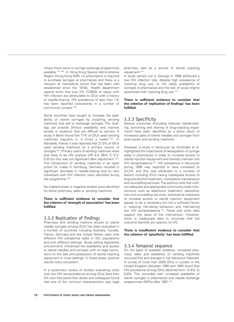where there were no syringe exchange programmes available (167, 168). In Hong Kong Special Administrative Region (Hong Kong SAR), no prescription is required to purchase syringes at pharmacies and there is a network of methadone clinics that has been well established since the 1970s. Health department reports show that only 2% (12/602) of cases with HIV infection are attributable to IDUs with a history of needle-sharing. HIV prevalence of less than 1% has been reported consistently in a number of community surveys (168).

Some countries have sought to increase the availability of sterile syringes by installing vending machines that sell or exchange syringes. This strategy can provide 24-hour availability and improve access in locations that are difficult to service. A study in Berlin found that 77% of IDUs used vending machines regularly  $(> 4$  times a week) (169). In Marseille, France it was reported that 21.3% of IDUs used vending machines as a primary source of syringes<sup>(165)</sup>. Primary users of vending machines were less likely to be HIV positive (OR 0.5; 95% CI 0.2, 0.9) but this was not significant after adjustment (165). The introduction of vending machines in an open prison for males in Hamburg, Germany resulted in significant decrease in needle-sharing and no new individuals with HIV infection were identified during the programme<sup>(166)</sup>.

No indeterminate or negative studies were identified for either pharmacy sales or vending machines.

#### **There is sufficient evidence to consider that the criterion of 'strength of association' has been fulfilled.**

#### 3.3.2 Replication of findings

Pharmacy and vending machine access to sterile needle syringes among IDUs has been evaluated in a number of countries including Australia, Canada, France, Germany and the United States, each with different HIV prevalence rates in IDU populations and with different settings. Study setting (legislative environment) influenced the availability and access to sterile needles and syringes with no legal restrictions on the sale and possession of sterile injecting equipment in most settings. In these areas, positive results were consistent.

In a systematic review of studies evaluating cities with low HIV seroprevalence among IDUs (less than 5% over five years) Des Jarlais and colleagues found that one of the common characteristics was legal pharmacy sale as a source of sterile injecting equipment<sup>(147)</sup>.

A study carried out in Georgia in 1998 attributed a low HIV infection rate, despite high prevalence of injecting drug use, to the ready availability of syringes in pharmacies and the lack of social stigma associated with injecting drug use (170).

#### **There is sufficient evidence to consider that the criterion of 'replication of findings' has been fulfilled.**

#### 3.3.3 Specificity

Several outcomes (including reduced needle-sharing, borrowing and sharing of drug-injecting equipment) have been identified as a direct result of increased sales of sterile needles and syringes from pharmacies and vending machines.

However, a study in Vancouver by Strathdee et al. highlighted the importance of deregulation of syringe sales in pharmacies in order to increase access to sterile injection equipment and thereby maintain low HIV seroprevalence (66). HIV prevalence in Vancouver during 1996 was reported to have increased to 23.2% and this was attributed to a number of factors including IDUs having inadequate access to drug and alcohol treatment, methadone maintenance and counselling services. The authors note that without adequate and appropriate community-wide interventions such as addictions treatment, detoxification and counselling services, stand-alone measures to increase access to sterile injection equipment appear to be a necessary but not a sufficient factor in reducing risk-taking behaviour and maintaining low HIV seroprevalence (66). These and other data support the value of the intervention. However, there is inadequate data to conclude that the outcome benefits are specific to HIV.

#### **There is insufficient evidence to consider that the criterion of 'specificity' has been fulfilled.**

#### 3.3.4 Temporal sequence

On the basis of available evidence, increased pharmacy sales and availability of vending machines occurred first and changes in risk behaviour followed. A survey of more than 2000 IDUs in London in the United Kingdom between 1990 and 1993 found that HIV prevalence among IDUs declined from 12.8% to 6.9%. This coincided with increased availability of sterile syringes in pharmacies and needle exchange programmes (NEPs) after 1987<sup>(163)</sup>.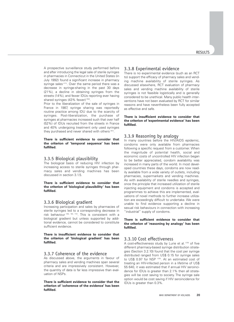A prospective surveillance study performed before and after introducing the legal sale of sterile syringes in pharmacies in Connecticut in the United States (in July 1992) found a significant increase in pharmacy syringe sales (171). Over the same period there was a decrease in syringe-sharing in the past 30 days (21%), a decline in obtaining syringes from the streets (14%), and fewer IDUs reporting ever having shared syringes (43% fewer) (164).

Prior to the liberalization of the sale of syringes in France in 1987, syringe sharing was reportedly routine practice among IDU due to the scarcity of syringes. Post-liberalization, the purchase of syringes at pharmacies increased such that over half (52%) of IDUs recruited from the streets in France and 40% undergoing treatment only used syringes they purchased and never shared with others (161).

#### **There is sufficient evidence to consider that the criterion of 'temporal sequence' has been fulfilled.**

#### 3.3.5 Biological plausibility

The biological basis of reducing HIV infection by increasing access to sterile syringes through pharmacy sales and vending machines has been discussed in section 3.1.5.

**There is sufficient evidence to consider that the criterion of 'biological plausibility' has been fulfilled.**

#### 3.3.6 Biological gradient

Increasing participation and sales by pharmacies of sterile syringes led to a corresponding decrease in risk behaviour (162, 164, 172). This is consistent with a biological gradient but unless supported by additional evidence, cannot be considered to constitute sufficient evidence.

#### **There is insufficient evidence to consider that the criterion of 'biological gradient' has been fulfilled.**

#### 3.3.7 Coherence of the evidence

As discussed above, the arguments in favour of pharmacy sales and vending machines span several criteria and are impressively consistent. However, the quantity of data is far less impressive than evaluation of NSPs.

#### **There is sufficient evidence to consider that the criterion of 'coherence of the evidence' has been fulfilled.**

#### 3.3.8 Experimental evidence

There is no experimental evidence (such as an RCT to) support the efficacy of pharmacy sales and vending machine availability of sterile syringes. As discussed elsewhere, RCT evaluation of pharmacy sales and vending machine availability of sterile syringes is not feasible logistically and is generally considered to be unethical. Many public health interventions have not been evaluated by RCT for similar reasons and have nevertheless been fully accepted as effective and safe.

#### **There is insufficient evidence to consider that the criterion of 'experimental evidence' has been fulfilled.**

#### 3.3.9 Reasoning by analogy

In many countries before the HIV/AIDS epidemic, condoms were only available from pharmacies following a specific request from a customer. When the magnitude of potential health, social and economic costs of uncontrolled HIV infection began to be better appreciated, condom availability was increased in many parts of the world. In most developed countries these days, condoms are now readily available from a wide variety of outlets, including pharmacies, supermarkets and vending machines. As with availability of sterile needles and syringes, once the principle that increased utilization of sterile injecting equipment and condoms is accepted and programmes to achieve this are implemented, evaluations of novel methods to further increase utilization are exceedingly difficult to undertake. We were unable to find evidence supporting a decline in sexual risk behaviours in connection with increasing "industrial" supply of condoms.

#### **There is sufficient evidence to consider that the criterion of 'reasoning by analogy' has been fulfilled.**

#### 3.3.10 Cost effectiveness

A cost-effectiveness study by Lurie et al. (125) of five different pharmacy-based syringe distribution strategies (Section 3.2.10) found that the cost per syringe distributed ranged from US\$ 0.15 for syringe sales to US\$ 0.97 for NSP<sup>(125)</sup>. At an estimated cost of treating an HIV-infected person in a lifetime of US\$ 55 640, it was estimated that if annual HIV seroincidence for IDUs is greater than 2.1% then all strategies will be cost saving to society. The syringe sale option would be cost saving if HIV seroincidence for IDUs is greater than 0.3%.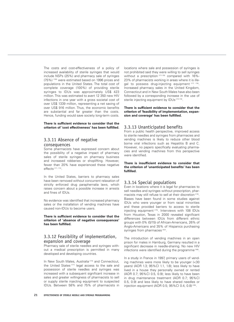The costs and cost-effectiveness of a policy of increased availability of sterile syringes that would include NSPs (25%) and pharmacy sale of syringes (75%) (126) were estimated based on 1996 prices and populations in the United States. The total cost of complete coverage (100%) of providing sterile syringes to IDUs was approximately US\$ 423 million. This was estimated to avert 12 350 new HIV infections in one year with a gross societal cost of over US\$ 1339 million, representing a net saving of over US\$ 916 million. Thus, the economic benefits are substantial and far greater than the costs. Hence, funding would save society long-term costs.

**There is sufficient evidence to consider that the criterion of 'cost effectiveness' has been fulfilled.**

#### 3.3.11 Absence of negative consequences

Some pharmacists have expressed concern about the possibility of a negative impact of pharmacy sales of sterile syringes on pharmacy business and increased robberies or shoplifting. However, fewer than 20% have experienced these negative effects (171, 172).

In the United States, barriers to pharmacy sales have been removed without concurrent relaxation of strictly enforced drug paraphernalia laws, which raises concern about a possible increase in arrests and fines of IDUs.

No evidence was identified that increased pharmacy sales or the installation of vending machines have caused non-IDUs to become users.

**There is sufficient evidence to consider that the criterion of 'absence of negative consequences' has been fulfilled.**

#### 3.3.12 Feasibility of implementation, expansion and coverage

Pharmacy sale of sterile needles and syringes without a medical prescription is permitted in many developed and developing countries.

In New South Wales, Australia<sup>(173)</sup> and Connecticut, the United States (171) legal access to the sale and possession of sterile needles and syringes was increased with a subsequent significant increase in sales and greater willingness of pharmacists to sell or supply sterile injecting equipment to suspected IDUs. Between 58% and 75% of pharmacists in

locations where sale and possession of syringes is not prohibited said they were willing to sell syringes without a prescription<sup>(171-176)</sup> compared with 16%-23% of pharmacists working in areas where it is illegal to possess drug-injecting equipment (177, 178). Increased pharmacy sales in the United Kingdom, Connecticut and in New South Wales have also been followed by a corresponding increase in the use of sterile injecting equipment by IDUs (172-174).

#### **There is sufficient evidence to consider that the criterion of 'feasibility of implementation, expansion and coverage' has been fulfilled.**

#### 3.3.13 Unanticipated benefits

From a public health perspective, improved access to sterile needles and syringes from pharmacies and vending machines is likely to reduce other blood borne viral infections such as Hepatitis B and C. However, no papers specifically evaluating pharmacies and vending machines from this perspective were identified.

#### **There is insufficient evidence to consider that the criterion of 'unanticipated benefits' has been fulfilled.**

#### 3.3.14 Special populations

Even in locations where it is legal for pharmacies to sell needles and syringes without prescription, pharmacists may still refuse to sell at their discretion (179). Biases have been found in some studies against IDUs who were younger or from racial minorities and these provided barriers to access to sterile injecting equipment (175). Interviews with 108 IDUs from Houston, Texas in 2000 revealed significant differences between IDUs from different ethnic groups with 0% (0/15) of African-Americans, 26% of Anglo-Americans and 35% of Hispanics purchasing syringes from pharmacies (167).

The introduction of vending machines in an open prison for males in Hamburg, Germany resulted in a significant decrease in needle-sharing. No new HIV infections were identified during the programme (166).

In a study in France in 1997, primary users of vending machines were more likely to be younger (<30 years) (AOR 1.3; 95%CI 1.1, 1.8); less likely to have lived in a house they personally owned or rented (AOR 0.7; 95%CI 0.5, 0.9); less likely to have been in drug maintenance treatment (AOR 0.7; 95%CI 0.5, 0.9) and less likely to have shared needles or injection equipment (AOR 0.5; 95%CI 0.4, 0.8) (165).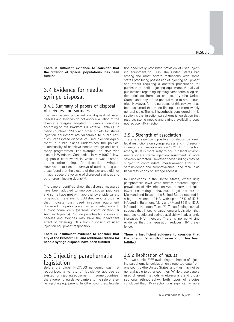**There is sufficient evidence to consider that the criterion of 'special populations' has been fulfilled**.

### 3.4 Evidence for needle syringe disposal

#### 3.4.1 Summary of papers of disposal of needles and syringes

The few papers published on disposal of used needles and syringes do not allow evaluation of the diverse strategies adopted in various countries according to the Bradford Hill criteria (Table 6). In many countries, NSPs and other outlets for sterile injection equipment are vulnerable to public criticism. Widespread disposal of used injection equipment in public places undermines the political sustainability of sensitive needle syringe and pharmacy programmes. For example, an NSP was closed in Windham, Connecticut in May 1997 following public controversy in which it was blamed, among other things for discarded syringes. However, post-closure surveys of outdoor drug-use areas found that the closure of the exchange did not in fact reduce the volume of discarded syringes and other drug-injecting debris (108).

The papers identified show that diverse measures have been adopted to improve disposal practices and some have met with approval by a wide variety of groups. There are no published reports thus far that indicate that used injection equipment discarded in a public place has led to infection with a blood-borne virus (personal communication Dr Andrian Reynolds). Criminal penalties for possessing needles and syringes may have the inadvertent effect of deterring IDUs from disposing of used injection equipment responsibly.

**There is insufficient evidence to consider that any of the Bradford Hill and additional criteria for needle syringe disposal have been fulfilled.**

## 3.5 Injecting paraphernalia legislation

Before the global HIV/AIDS pandemic was first recognized, a variety of legislative approaches existed for injecting equipment. In some countries, there were no legislative barriers to the sale of sterile injecting equipment. In other countries, legislation specifically prohibited provision of used injecting equipment to IDUs. The United States had among the most severe restrictions with some states prohibiting possession of injecting equipment and others requiring a doctor's prescription for purchase of sterile injecting equipment. Virtually all publications regarding injecting paraphernalia legislation originate from just one country (the United States) and may not be generalizable to other countries. However, for the purposes of this review it has been assumed that these findings are more widely generalizable. The null hypothesis considered in this section is that injection paraphernalia legislation that restricts sterile needle and syringe availability does not reduce HIV infection.

#### 3.5.1 Strength of association

There is a significant positive correlation between legal restrictions on syringe access and HIV seroincidence and seroprevalence (61, 180). HIV infection among IDUs is more likely to occur in legal environments where sterile injection equipment is more severely restricted. However, these findings may be subject to confounders, measurement error (HIV seroincidence and seroprevalence), and recall bias (legal restrictions on syringe access).

In jurisdictions in the United States, where drug paraphernalia laws were strictly enforced, higher prevalence of HIV infection was observed despite lower risk-taking behaviour. Legal barriers in Maryland and Texas in the United States resulted in a high prevalence of HIV with up to 25% of IDUs infected in Baltimore, Maryland (119) and 35% of IDUs infected in Houston, Texas<sup>(167)</sup>. These findings overall suggest that injecting paraphernalia legislation that restricts needle and syringe availability inadvertently increases HIV infection. There is no convincing evidence that this legislation reduces HIV prevalence.

**There is insufficient evidence to consider that the criterion 'strength of association' has been fulfilled.**

#### 3.5.2 Replication of results

The two studies (61, 180) evaluating the impact of injecting paraphernalia legislation only reported data from one country (the United States) and thus may not be generalizable to other countries. While these papers used different methods (meta-analysis and crosssectional ethnography), both types of studies concluded that HIV infection was significantly more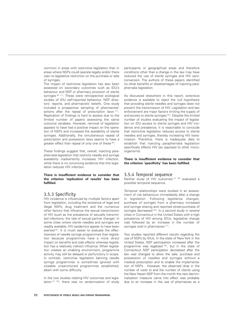common in areas with restrictive legislation than in areas where NSPs could operate legally and/or there was no legislative restriction on the purchase or sale of syringes.

The impact of restrictive legislation has also been assessed on secondary outcomes such as IDU's behaviour and NSP or pharmacy provision of sterile syringes (84, 171). These were retrospective ecological studies of IDU self-reported behaviour, NSP directors' reports, and pharmacists' beliefs. One study included a prospective sampling of pharmacists' actions after the repeal of prescription laws (171). Replication of findings is hard to assess due to the limited number of papers assessing the same outcome variables. However, removal of legislation appears to have had a positive impact on the operation of NSPs and increased the availability of sterile syringes. Additionally, the simultaneous repeal of prescription and possession laws seems to have a greater effect than repeal of only one of these (84).

These findings suggest that, overall, injecting paraphernalia legislation that restricts needle and syringe availability inadvertently increases HIV infection, while there is no convincing evidence that this legislation reduces HIV infection.

#### **There is insufficient evidence to consider that the criterion 'replication of results' has been fulfilled.**

#### 3.5.3 Specificity

HIV incidence is influenced by multiple factors apart from legislation, including the existence of legal and illegal NSPs, drug treatment and the numerous other factors that influence the sexual transmission of HIV (such as the prevalence of sexually transmitted infections, the rate of sexual partner change). In some cities where sterile needles and syringes are readily available, HIV epidemics appear to have been averted (62). It is much easier to evaluate the effectiveness of needle syringe programmes than legislation because programmes have a more direct impact on benefits and side effects whereas legislation has a relatively indirect influence. When legislation creates an enabling environment, programme activity may still be delayed or perfunctory in scope. In contrast, restrictive legislation banning needle syringe programmes is sometimes ignored with sizeable unsanctioned programmes established, albeit with some difficulty.

In the two studies relating HIV outcomes and legislation (61, 180), there was no randomization of study participants or geographical areas and therefore conditions other than a change in the law may have reduced the use of sterile syringes and HIV seroconversion. The authors of these papers identified no other benefits or disadvantages of injecting paraphernalia legislation.

As discussed elsewhere in this report, extensive evidence is available to reject the null hypothesis that providing sterile needles and syringes does not prevent the transmission of HIV. Legislation and law enforcement are major factors limiting the supply of and access to sterile syringes<sup>(181)</sup>. Despite the limited number of studies evaluating the impact of legislation on IDU access to sterile syringes and HIV incidence and prevalence, it is reasonable to conclude that restrictive legislation reduces access to sterile needles and syringes, thereby increasing HIV transmission. Therefore, there is inadequate data to establish that injecting paraphernalia legislation specifically effects HIV (as opposed to other microorganisms).

#### **There is insufficient evidence to consider that the criterion 'specificity' has been fulfilled.**

#### 3.5.4 Temporal sequence

Neither study of HIV outcomes (61, 180) evaluated a possible temporal sequence.

Temporal relationships were studied in an assessment of risk behaviours immediately after a change in legislation. Following legislative changes, purchase of syringes from a pharmacy increased and syringe sharing and reported street-purchase of syringes decreased (164). In a second study in several cities in Connecticut in the United States with a high prevalence of HIV among IDUs, legislative change was followed by an increase in the number of syringes sold in pharmacies (171).

Two studies reported different results regarding the use of NSPs by IDUs. In the state of New York in the United States, NSP participation increased after the programme was legalized (182), but in the state of Connecticut NSP participation decreased after the law was changed to allow the sale, purchase and possession of needles and syringes without a medical prescription and to enable the implementation of NSPs . However, the observed drop in the number of visits to and the number of clients using the New Haven NSP from the month the new decriminalization measure came into effect was probably due to an increase in the use of pharmacies as a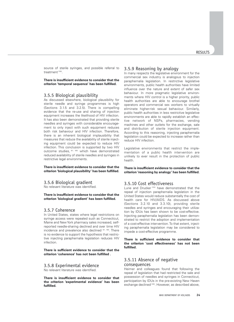source of sterile syringes, and possible referral to treatment<sup>(183)</sup>.

**There is insufficient evidence to consider that the criterion 'temporal sequence' has been fulfilled.**

#### 3.5.5 Biological plausibility

As discussed elsewhere, biological plausibility for sterile needle and syringe programmes is high (Sections 3.1.5 and 3.2.5). There is compelling evidence that the re-use and sharing of injection equipment increases the likelihood of HIV infection. It has also been demonstrated that providing sterile needles and syringes with considerable encouragement to only inject with such equipment reduces both risk behaviour and HIV infection. Therefore, there is an inherent biological implausibility that measures that reduce the availability of sterile injecting equipment could be expected to reduce HIV infection. This conclusion is supported by two HIV outcome studies, (61, 180) which have demonstrated reduced availability of sterile needles and syringes in restrictive legal environments.

**There is insufficient evidence to consider that the criterion 'biological plausibility' has been fulfilled.**

#### 3.5.6 Biological gradient

No relevant literature was identified.

**There is insufficient evidence to consider that the criterion 'biological gradient' has been fulfilled.**

#### 3.5.7 Coherence

In United States, states where legal restrictions on syringe access were repealed such as Connecticut, Maine and New York pharmacy sales increased, selfreported needle-sharing declined and over time HIV incidence and prevalence also declined (61, 180). There is no evidence to support the hypothesis that restrictive injecting paraphernalia legislation reduces HIV infection.

**There is sufficient evidence to consider that the criterion 'coherence' has not been fulfilled .**

#### 3.5.8 Experimental evidence

No relevant literature was identified.

**There is insufficient evidence to consider that the criterion 'experimental evidence' has been fulfilled.**

#### 3.5.9 Reasoning by analogy

In many respects the legislative environment for the commercial sex industry is analogous to injection paraphernalia legislation. In restrictive legislative environments, public health authorities have limited influence over the nature and extent of safer sex behaviour. In more pragmatic legislative environments where HIV control is a higher priority, public health authorities are able to encourage brothel operators and commercial sex workers to virtually eliminate higher-risk sexual behaviour. Similarly, public health authorities in less restrictive legislative environments are able to rapidly establish an effective network of NSPs, pharmacies, vending machines and other outlets for the exchange, sale and distribution of sterile injection equipment. According to this reasoning, injecting paraphernalia legislation could be expected to increase rather than reduce HIV infection.

Legislative environments that restrict the implementation of a public health intervention are unlikely to ever result in the protection of public health.

**There is insufficient evidence to consider that the criterion 'reasoning by analogy' has been fulfilled.**

#### 3.5.10 Cost effectiveness

Lurie and Drucker<sup>(102)</sup> have demonstrated that the repeal of injection paraphernalia legislation in the United States would reduce substantially the cost of health care for HIV/AIDS. As discussed above (Sections 3.2.10 and 3.3.10), providing sterile needles and syringes and encouraging their utilization by IDUs has been shown to be cost-effective. Injecting paraphernalia legislation has been demonstrated to restrict the adoption and implementation of a cost-effective intervention. To that extent, injecting paraphernalia legislation may be considered to impede a cost-effective programme.

**There is sufficient evidence to consider that the criterion 'cost effectiveness' has not been fulfilled.**

#### 3.5.11 Absence of negative consequences

Heimer and colleagues found that following the repeal of legislation that had restricted the sale and possession of needles and syringes in Connecticut, participation by IDUs in the pre-existing New Haven exchange declined<sup>(183)</sup>. However, as described above,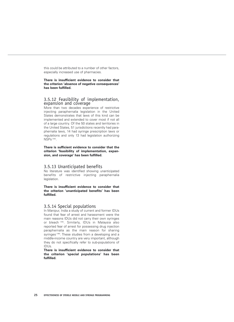this could be attributed to a number of other factors, especially increased use of pharmacies.

**There is insufficient evidence to consider that the criterion 'absence of negative consequences' has been fulfilled.**

#### 3.5.12 Feasibility of implementation, expansion and coverage

More than two decades experience of restrictive injecting paraphernalia legislation in the United States demonstrates that laws of this kind can be implemented and extended to cover most if not all of a large country. Of the 50 states and territories in the United States, 51 jurisdictions recently had paraphernalia laws, 14 had syringe prescription laws or regulations and only 13 had legislation authorizing NSPs (184).

**There is sufficient evidence to consider that the criterion 'feasibility of implementation, expansion, and coverage' has been fulfilled.**

#### 3.5.13 Unanticipated benefits

No literature was identified showing unanticipated benefits of restrictive injecting paraphernalia legislation.

**There is insufficient evidence to consider that the criterion 'unanticipated benefits' has been fulfilled.**

#### 3.5.14 Special populations

In Manipur, India a study of current and former IDUs found that fear of arrest and harassment were the main reasons IDUs did not carry their own syringes or bleach (185). Similarly, IDUs in Malaysia also reported fear of arrest for possessing drug injection paraphernalia as the main reason for sharing syringes (186). These studies from a developing and a middle-income country are very important, although they do not specifically refer to sub-populations of IDUs.

**There is insufficient evidence to consider that the criterion 'special populations' has been fulfilled.**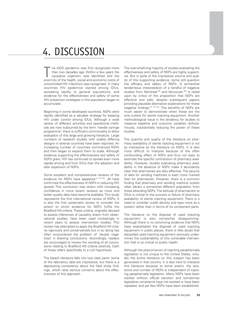## 4. DISCUSSION

he AIDS pandemic was first recognized more than two decades ago. Within a few years the causative organism was identified and the The AIDS pandemic was first recognized more<br>than two decades ago. Within a few years the<br>causative organism was identified and the<br>enormity of the health, social and economic costs of uncontrolled HIV infections was recognized. In many countries HIV epidemics started among IDUs, spreading rapidly to general populations, and evidence for the effectiveness and safety of some HIV prevention strategies in this population began to accumulate.

Beginning in some developed countries, NSPs were rapidly identified as a valuable strategy for keeping HIV under control among IDUs. Although a wide variety of different activities and operational methods are now subsumed by the term 'needle syringe programme', there is sufficient commonality to allow evaluation of this large and growing literature. Large numbers of research studies with widely differing designs in diverse countries have been reported. An increasing number of countries commenced NSPs and then began to expand them to scale. Although evidence supporting the effectiveness and safety of NSPs grew, HIV has continued to spread even more rapidly among and from IDUs than the adoption and later expansion of NSPs.

Some excellent and comprehensive reviews of the evidence for NSPs have appeared (6, 187-193). All have confirmed the effectiveness of NSPs in reducing HIV spread. This conclusion was drawn with increasing confidence in more recent reviews as more and better quality data have become available. This study represents the first international review of NSPs. It is also the first systematic review to consider the extent to which evidence for NSPs fulfils the Bradford Hill criteria. These criteria, originally devised to assess inferences of causality drawn from observational studies, have been used increasingly in recent years to assess intervention studies. This review has attempted to apply the Bradford Hill criteria rigorously and conservatively but in so doing has often encountered the problem of 'double negatives' in drawing conclusions. Accordingly, readers are encouraged to review the wording of all conclusions relating to Bradford Hill criteria carefully. Each of these refers specifically to a null hypothesis.

The bleach literature falls into two clear parts: some of the laboratory data are impressive, but there is a depressing consistency about the field study findings, which raise serious concerns about the effectiveness of this approach.

The overwhelming majority of studies evaluating the effectiveness and safety of NSPs are highly supportive. But in spite of the impressive volume and quality of this supporting evidence, some still question the efficacy and safety of NSPs. A somewhat tendentious interpretation of a handful of negative studies from Montreal<sup>(65)</sup> and Vancouver<sup>(66)</sup> is relied upon by critics of the proposition that NSPs are effective and safe, despite subsequent papers providing plausible alternative explanations for these negative findings (67, 102-105). The benefits of NSPs are much easier to demonstrate when these are the only outlets for sterile injecting equipment. Another methodological issue is the tendency for studies to measure baseline and outcome variables dichotomously, substantially reducing the power of these studies.

The quantity and quality of the literature on pharmacy availability of sterile injecting equipment is not as impressive as the literature on NSPs. It is also more difficult to interpret because of the often confounding effect of NSPs and thus not easy to estimate the specific contribution of pharmacy availability. However, studies evaluating pharmacy availability in the absence of NSPs make it abundantly clear that pharmacies are also effective. The paucity of data for vending machines is even more marked than for pharmacies. However, there is a common finding that pharmacy and vending machine outlets often attract a somewhat different population from those attending NSPs. The attitude of pharmacists to IDUs is critical to the success or failure of pharmacy availability of sterile injecting equipment. There is a need to consider outlet density and type more as a system rather than in terms of its component parts.

The literature on the disposal of used injecting equipment is also somewhat disappointing. Although there is no convincing evidence that NSPs have exacerbated the disposal of used injecting equipment in public places, there is little doubt that discarded used injecting equipment seriously undermines the sustainability of this vulnerable intervention that is so critical to public health.

Although the phenomenon of injecting paraphernalia legislation is not unique to the United States, virtually the entire literature on this subject has been generated in that country. It is also hard to interpret this literature because to some extent, the existence and number of NSPs is independent of injecting paraphernalia legislation. Many NSPs have been started without official sanction and sometimes legislative constraints have not existed or have been repealed, and yet few NSPs have been established.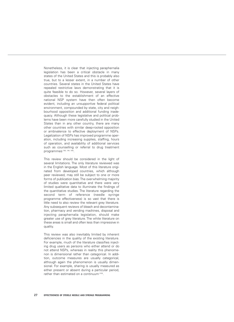Nonetheless, it is clear that injecting paraphernalia legislation has been a critical obstacle in many states of the United States and this is probably also true, but to a lesser extent, in a number of other countries. Several states in the United States have repealed restrictive laws demonstrating that it is quite feasible to do so. However, several layers of obstacles to the establishment of an effective national NSP system have then often become evident, including an unsupportive federal political environment, compounded by state, city and neighbourhood opposition and additional funding inadequacy. Although these legislative and political problems have been more carefully studied in the United States than in any other country, there are many other countries with similar deep-rooted opposition or ambivalence to effective deployment of NSPs. Legalization of NSPs has improved programme operation, including increasing supplies, staffing, hours of operation, and availability of additional services such as counselling or referral to drug treatment programmes<sup>(182, 194, 195)</sup>.

This review should be considered in the light of several limitations. The only literature reviewed was in the English language. Most of this literature originated from developed countries, which although peer reviewed, may still be subject to one or more forms of publication bias. The overwhelming majority of studies were quantitative and there were very limited qualitative data to illuminate the findings of the quantitative studies. The literature regarding the second term of reference (needle syringe programme effectiveness) is so vast that there is little need to also review the relevant grey literature. Any subsequent reviews of bleach and decontamination, pharmacy and vending machines, disposal and injecting paraphernalia legislation, should make greater use of grey literature. The white literature on these areas is small and often less than impressive in quality.

This review was also inevitably limited by inherent deficiencies in the quality of the existing literature. For example, much of the literature classifies injecting drug users as persons who either attend or do not attend NSPs, whereas in reality this phenomenon is dimensional rather than categorical. In addition, outcome measures are usually categorical, although again the phenomenon is usually dimensional. For example, sharing is usually measured as either present or absent during a particular period, rather than estimated on a continuum<sup>(103)</sup>.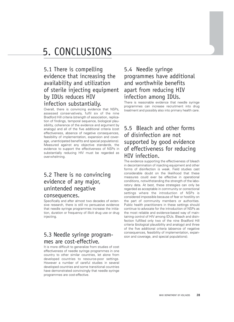## 5. CONCLUSIONS

## 5.1 There is compelling evidence that increasing the availability and utilization of sterile injecting equipment by IDUs reduces HIV infection substantially.

Overall, there is convincing evidence that NSPs, assessed conservatively, fulfil six of the nine Bradford Hill criteria (strength of association, replication of findings, temporal sequence, biological plausibility, coherence of the evidence and argument by analogy) and all of the five additional criteria (cost effectiveness, absence of negative consequences, feasibility of implementation, expansion and coverage, unanticipated benefits and special populations). Measured against any objective standards, the evidence to support the effectiveness of NSPs in substantially reducing HIV must be regarded as overwhelming.

### 5.2 There is no convincing evidence of any major, unintended negative consequences.

Specifically and after almost two decades of extensive research, there is still no persuasive evidence that needle syringe programmes increase the initiation, duration or frequency of illicit drug use or drug injecting.

### 5.3 Needle syringe programmes are cost-effective.

It is more difficult to generalize from studies of cost effectiveness of needle syringe programmes in one country to other similar countries, let alone from developed countries to resource-poor settings. However a number of careful studies in several developed countries and some transitional countries have demonstrated convincingly that needle syringe programmes are cost-effective.

### 5.4 Needle syringe programmes have additional and worthwhile benefits apart from reducing HIV infection among IDUs.

There is reasonable evidence that needle syringe programmes can increase recruitment into drug treatment and possibly also into primary health care.

## 5.5 Bleach and other forms of disinfection are not supported by good evidence of effectiveness for reducing HIV infection.

The evidence supporting the effectiveness of bleach in decontamination of injecting equipment and other forms of disinfection is weak. Field studies cast considerable doubt on the likelihood that these measures could ever be effective in operational conditions, notwithstanding the strength of the laboratory data. At best, these strategies can only be regarded as acceptable in community or correctional settings where the introduction of NSPs is considered impossible because of fear or hostility on the part of community members or authorities. Public health practitioners in these settings should continue to advocate for the introduction of NSPs as the most reliable and evidence-based way of maintaining control of HIV among IDUs. Bleach and disinfection fulfilled only two of the nine Bradford Hill criteria (biological plausibility and analogy) and three of the five additional criteria (absence of negative consequences, feasibility of implementation, expansion and coverage, and special populations).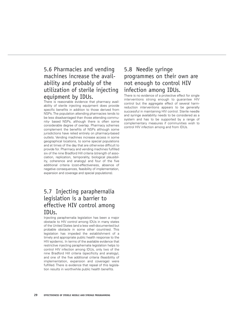### 5.6 Pharmacies and vending machines increase the availability and probably of the utilization of sterile injecting equipment by IDUs.

There is reasonable evidence that pharmacy availability of sterile injecting equipment does provide specific benefits in addition to those derived from NSPs. The population attending pharmacies tends to be less disadvantaged than those attending community- based NSPs, although there is often some considerable degree of overlap. Pharmacy schemes complement the benefits of NSPs although some jurisdictions have relied entirely on pharmacy-based outlets. Vending machines increase access in some geographical locations, to some special populations and at times of the day that are otherwise difficult to provide for. Pharmacy and vending machines fulfilled six of the nine Bradford Hill criteria (strength of association, replication, temporality, biological plausibility, coherence and analogy) and four of the five additional criteria (cost-effectiveness, absence of negative consequences, feasibility of implementation, expansion and coverage and special populations).

## 5.7 Injecting paraphernalia legislation is a barrier to effective HIV control among IDUs.

Injecting paraphernalia legislation has been a major obstacle to HIV control among IDUs in many states of the United States (and a less well-documented but probable obstacle in some other countries). This legislation has impeded the establishment of a timely and appropriate public health response to the HIV epidemic. In terms of the available evidence that restrictive injecting paraphernalia legislation helps to control HIV infection among IDUs, only two of the nine Bradford Hill criteria (specificity and analogy), and one of the five additional criteria (feasibility of implementation, expansion and coverage) were fulfilled. There is evidence that repeal of this legislation results in worthwhile public health benefits.

## 5.8 Needle syringe programmes on their own are not enough to control HIV infection among IDUs.

There is no evidence of a protective effect for single interventions strong enough to guarantee HIV control but the aggregate effect of several harmreduction interventions appears to be generally successful in maintaining HIV control. Sterile needle and syringe availability needs to be considered as a system and has to be supported by a range of complementary measures if communities wish to control HIV infection among and from IDUs.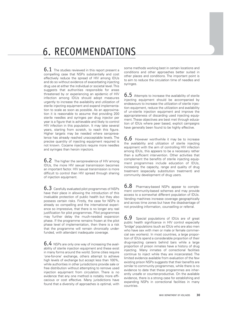## 6. RECOMMENDATIONS

 $6.1$  The studies reviewed in this report present a compelling case that NSPs substantially and cost effectively reduce the spread of HIV among IDUs and do so without evidence of exacerbating injecting drug use at either the individual or societal level. This suggests that authorities responsible for areas threatened by or experiencing an epidemic of HIV infection among IDUs should adopt measures urgently to increase the availability and utilization of sterile injecting equipment and expand implementation to scale as soon as possible. As an approximation it is reasonable to assume that providing 200 sterile needles and syringes per drug injector per year is a figure that is achievable and likely to control HIV infection in this population. It may take several years, starting from scratch, to reach this figure. Higher targets may be needed where seroprevalence has already reached unacceptable levels. The precise quantity of injecting equipment required is not known. Cocaine injectors require more needles and syringes than heroin injectors.

**6.2** The higher the seroprevalence of HIV among IDUs, the more HIV sexual transmission becomes an important factor. HIV sexual transmission is more difficult to control than HIV spread through sharing of injection equipment.

6.3 Carefully evaluated pilot programmes of NSPs have their place in allowing the introduction of this invaluable protection of public health but they also possess certain risks. Firstly, the case for NSPs is already so compelling and the international experience so impressive, that there is no longer any real justification for pilot programmes. Pilot programmes may further delay the much-needed expansion phase. If the programme remains frozen at the pilot phase level of implementation, then there is a risk that the programme will remain chronically underfunded, with attendant inadequate coverage.

6.4 NSPs are only one way of increasing the availability of sterile injection equipment and these exist in many forms around the world. Some cities require 'one-for-one' exchange, others attempt to achieve high levels of exchange but accept less than 100%, while authorities in other jurisdictions provide sale or free distribution without attempting to remove used injection equipment from circulation. There is no evidence that any one method is notably more efficacious or cost effective. Many jurisdictions have found that a diversity of approaches is optimal, with some methods working best in certain locations and conditions and other approaches better suited in other places and conditions. The important point is to aim to reduce the circulation time of needles and syringes.

 $6.5$  Attempts to increase the availability of sterile injecting equipment should be accompanied by endeavours to increase the utilization of sterile injection equipment, reduce the utilization and availability of un-sterile injection equipment and improve the appropriateness of discarding used injecting equipment. These objectives are best met through education of IDUs where peer based, explicit campaigns have generally been found to be highly effective.

 $6.6$  However worthwhile it may be to increase the availability and utilization of sterile injecting equipment with the aim of controlling HIV infection among IDUs, this appears to be a necessary rather than a sufficient intervention. Other activities that complement the benefits of sterile injecting equipment programmes include education of IDUs, increasing the capacity, range and quality of drug treatment (especially substitution treatment) and community development of drug users.

6.8 Pharmacy-based NSPs appear to complement community-based schemes and may provide access to a somewhat different population of IDUs. Vending machines increase coverage geographically and across time zones but have the disadvantage of not providing information, counselling or referral.

**6.9** Special populations of IDUs are of great public health significance in HIV control especially "bridge" populations (such as IDUs who are also men who have sex with men or male or female commercial sex workers). In most countries, a large proportion of IDUs spend a considerable proportion of their drug-injecting careers behind bars while a large proportion of prison inmates have a history of drug injecting. Many inmates of correctional facilities continue to inject while they are incarcerated. The limited evidence available from evaluation of the few existing prison NSPs suggests that their benefits are similar to community programmes, while there is no evidence to date that these programmes are inherently unsafe or counter-productive. On the available evidence, there is a strong case for establishing and expanding NSPs in correctional facilities in many countries.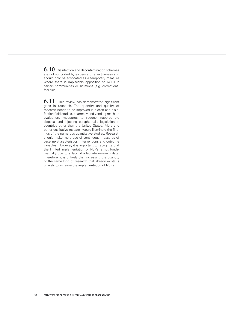6.10 Disinfection and decontamination schemes are not supported by evidence of effectiveness and should only be advocated as a temporary measure where there is implacable opposition to NSPs in certain communities or situations (e.g. correctional facilities).

6.11 This review has demonstrated significant gaps in research. The quantity and quality of research needs to be improved in bleach and disinfection field studies, pharmacy and vending machine evaluation, measures to reduce inappropriate disposal and injecting paraphernalia legislation in countries other than the United States. More and better qualitative research would illuminate the findings of the numerous quantitative studies. Research should make more use of continuous measures of baseline characteristics, interventions and outcome variables. However, it is important to recognize that the limited implementation of NSPs is not fundamentally due to a lack of adequate research data. Therefore, it is unlikely that increasing the quantity of the same kind of research that already exists is unlikely to increase the implementation of NSPs.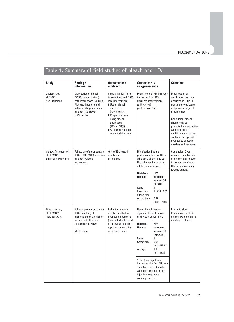## Table 1. Summary of field studies of bleach and HIV

| <b>Study</b>                                                      | Setting /<br>Intervention:                                                                                                                                                     | <b>Outcome: use</b><br>of bleach                                                                                                                                                                                                    | <b>Outcome: HIV</b><br>risk/prevalence                                                                                                                                              |                                                                                                                                     | <b>Comment</b>                                                                                                                                                                                                                                                                                                             |
|-------------------------------------------------------------------|--------------------------------------------------------------------------------------------------------------------------------------------------------------------------------|-------------------------------------------------------------------------------------------------------------------------------------------------------------------------------------------------------------------------------------|-------------------------------------------------------------------------------------------------------------------------------------------------------------------------------------|-------------------------------------------------------------------------------------------------------------------------------------|----------------------------------------------------------------------------------------------------------------------------------------------------------------------------------------------------------------------------------------------------------------------------------------------------------------------------|
| Chaisson, et<br>al. 1987 <sup>(14)</sup> .<br>San Francisco       | Distribution of bleach<br>(5.25% concentration)<br>with instructions, to IDUs.<br>Also used posters and<br>billboards to promote use<br>of bleach to prevent<br>HIV infection. | Comparing 1987 (after<br>intervention) with 1985<br>(pre-intervention):<br>Use of bleach<br>increased<br>(47% vs 6%).<br>Proportion never<br>using bleach<br>decreased<br>(76% vs 36%).<br>▶ % sharing needles<br>remained the same | increased from 10%<br>(1985 pre-intervention)<br>to 15% (1987<br>post-intervention).                                                                                                | Prevalence of HIV infection                                                                                                         | Modification of<br>sterilization practice<br>occurred in IDUs in<br>treatment (who were<br>not primary target of<br>programme).<br>Conclusion: bleach<br>should only be<br>promoted in conjunction<br>with other risk-<br>modification measures,<br>such as widespread<br>availability of sterile<br>needles and syringes. |
| Vlahov, Astemborski,<br>et al. 1994 (17).<br>Baltimore, Maryland. | Follow-up of seronegative<br>IDUs (1988-1992) in setting<br>of bleach/alcohol<br>promotion.                                                                                    | 46% of IDUs used<br>disinfection<br>all the time                                                                                                                                                                                    | Disinfection had no<br>protective effect for IDUs<br>who used all the time vs<br>IDU who used less than<br>all the time or never.                                                   |                                                                                                                                     | Conclusion: Over-<br>reliance upon bleach<br>or alcohol disinfection<br>in prevention of new<br>HIV infection among                                                                                                                                                                                                        |
|                                                                   |                                                                                                                                                                                |                                                                                                                                                                                                                                     | Disinfec-<br>tion use<br>None<br>Less than<br>all the time<br>All the time                                                                                                          | <b>HIV</b><br>serocon-<br>version OR<br>(95%CI)<br>1<br>$1(0.36 - 2.82)$<br>0.87<br>$(0.32 - 2.37)$                                 | IDUs is unsafe.                                                                                                                                                                                                                                                                                                            |
| Titus, Marmor,<br>et al. 1994 (16).<br>New York City.             | Follow-up of seronegative<br>IDUs in setting of<br>bleach/alcohol promotion                                                                                                    | Behaviour change<br>may be enabled by<br>counselling sessions                                                                                                                                                                       | Use of bleach had no<br>significant effect on risk<br>of HIV seroconversion.                                                                                                        |                                                                                                                                     | Efforts to slow<br>transmission of HIV<br>among IDUs should not                                                                                                                                                                                                                                                            |
|                                                                   | (reinforced after each<br>research interview).<br>Multi-ethnic                                                                                                                 | (conducted at the end<br>of interview session) $-$<br>repeated counselling<br>increased recall.                                                                                                                                     | Disinfec-<br>tion use<br>Never<br>Sometimes<br>Always<br>* The (non-significant)<br>sometimes used bleach.<br>was not significant after<br>injection frequency<br>was adjusted for. | HIV<br>serocon-<br>version OR<br>(95%CI)s<br>1<br>6.55<br>$(0.8 - 55.8)^*$<br>1.05<br>$(0.1 - 15.9)$<br>increased risk for IDUs who | emphasize bleach.                                                                                                                                                                                                                                                                                                          |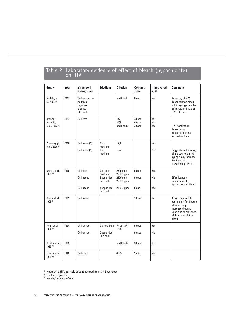| <b>Study</b>                            | Year | Virus(cell<br>assoc/free)                                             | <b>Medium</b>            | <b>Dilution</b>            | <b>Contact</b><br><b>Time</b>           | <b>Inactivated</b><br>Y/N | <b>Comment</b>                                                                                                                                 |
|-----------------------------------------|------|-----------------------------------------------------------------------|--------------------------|----------------------------|-----------------------------------------|---------------------------|------------------------------------------------------------------------------------------------------------------------------------------------|
| Abdala, et<br>al. 2001 <sup>(34)</sup>  | 2001 | Cell-assoc and<br>cell free<br>together<br>$2-20$ $\mu$ L<br>of blood |                          | undiluted                  | 5 sec                                   | yes <sup>1</sup>          | Recovery of HIV<br>dependant on blood<br>vol. in syringe, number<br>of rinses, and titre of<br>HIV in blood.                                   |
| Aranda-<br>Anzaldo,<br>et al. 1992 (46) | 1992 | Cell-free                                                             |                          | $1\%$<br>20%<br>undiluted? | 30 <sub>sec</sub><br>$60$ sec<br>30 sec | Yes<br>No<br>Yes          | <b>HIV</b> inactivation<br>depends on<br>concentration and<br>incubation time.                                                                 |
| Contoreggi                              | 2000 | Cell assoc(?)                                                         | Cult                     | High                       |                                         | Yes                       |                                                                                                                                                |
| et al. 2000 <sup>(51)</sup>             |      | Cell assoc(?)                                                         | medium<br>Cult<br>medium | Low                        |                                         | No <sup>2</sup>           | Suggests that sharing<br>of a bleach-cleaned<br>syringe may increase<br>likelihood of<br>transmitting HIV-1.                                   |
| Druce et al.,<br>1995 (40)              | 1995 | Cell free                                                             | Cell cult<br>medium      | 2500 ppm<br>25 000 ppm     | $60$ sec                                | Yes                       |                                                                                                                                                |
|                                         |      | Cell assoc                                                            | Suspended<br>in blood    | 2500 ppm<br>25 000 ppm     | $60$ sec                                | No                        | <b>Effectiveness</b><br>compromised<br>by presence of blood                                                                                    |
|                                         |      | Cell assoc                                                            | Suspended<br>in blood    | 25 000 ppm                 | 5 sec                                   | Yes                       |                                                                                                                                                |
| Druce et al.<br>1995 (39                | 1995 | Cell assoc                                                            |                          |                            | $10 \text{ sec}^3$                      | Yes                       | 30 sec required if<br>syringe left for 3 hours<br>at room temp.<br>Increase thought<br>to be due to presence<br>of dried and clotted<br>blood. |
| Flynn et al.                            | 1994 | Cell-assoc                                                            | Cult medium              | Neat, 1:10;                | 60 sec                                  | Yes                       |                                                                                                                                                |
| 1994 (42)                               |      | Cell-assoc                                                            | Suspended<br>in blood    | 1:100                      | 60 sec                                  | No                        |                                                                                                                                                |
| Gordon et al.<br>1993 (45)              | 1993 |                                                                       |                          | undiluted?                 | 30 sec                                  | Yes                       |                                                                                                                                                |
| Martin et al.<br>1985 (49)              | 1985 | Cell-free                                                             |                          | 0.1%                       | $2 \text{ min}$                         | Yes                       |                                                                                                                                                |

# Table 2. Laboratory evidence of effect of bleach (hypochlorite)<br>on HIV

<sup>1</sup> Not to zero; (HIV still able to be recovered from 1/153 syringes)

<sup>2</sup> Facilitated growth

<sup>3</sup> Needle/syringe surface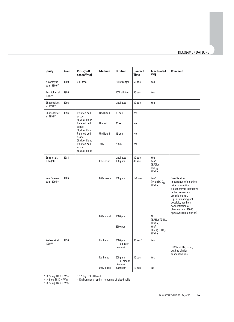### RECOMMENDATIONS

| <b>Study</b>                              | Year | Virus(cell<br>assoc/free)                                         | <b>Medium</b>        | <b>Dilution</b>                                  | <b>Contact</b><br><b>Time</b> | <b>Inactivated</b><br>Y/N                                                                                               | <b>Comment</b>                                                                                                                                                                                                                                             |
|-------------------------------------------|------|-------------------------------------------------------------------|----------------------|--------------------------------------------------|-------------------------------|-------------------------------------------------------------------------------------------------------------------------|------------------------------------------------------------------------------------------------------------------------------------------------------------------------------------------------------------------------------------------------------------|
| Newmeyer<br>et al. 1990 <sup>(47)</sup>   | 1990 | Cell-free                                                         |                      | Full strength                                    | 60 sec                        | Yes                                                                                                                     |                                                                                                                                                                                                                                                            |
| Resnick et al.<br>1986 (48)               | 1986 |                                                                   |                      | 10% dilution                                     | 60 sec                        | Yes                                                                                                                     |                                                                                                                                                                                                                                                            |
| Shapshak et<br>al. 1993 (44)              | 1993 |                                                                   |                      | Undiluted?                                       | 30 sec                        | Yes                                                                                                                     |                                                                                                                                                                                                                                                            |
| Shapshak et<br>al. 1994 (41)              | 1994 | Pelleted cell<br>assoc<br>50µL of blood<br>Pelleted cell          | Undiluted<br>Diluted | 30 sec<br>30 sec                                 | Yes<br>No                     |                                                                                                                         |                                                                                                                                                                                                                                                            |
|                                           |      | assoc<br>50µL of blood<br>Pelleted cell<br>assoc<br>50µL of blood | Undiluted            | 15 sec                                           | No                            |                                                                                                                         |                                                                                                                                                                                                                                                            |
|                                           |      | Pelleted cell<br>assoc<br>50µL of blood                           | 10%                  | 2 min                                            | Yes                           |                                                                                                                         |                                                                                                                                                                                                                                                            |
| Spire et al.<br>1984 (50)                 | 1984 |                                                                   | 8% serum             | Undiluted?<br>100 ppm                            | 30 sec<br>30 sec              | Yes<br>Yes <sup>4</sup><br>(3.75log<br>$TCID_{50}$<br>HIV/ml                                                            |                                                                                                                                                                                                                                                            |
| Van Bueren<br>et al. 1995 <sup>(36)</sup> | 1985 |                                                                   | 80% serum            | 500 ppm                                          | $1-2$ min                     | Yes <sup>5</sup><br>$($ >4logTCID <sub>50</sub><br>HIV/ml                                                               | Results stress<br>importance of cleaning<br>prior to infection.<br>Bleach maybe ineffective<br>in the presence of<br>organic matter.<br>If prior cleaning not<br>possible, use high<br>concentration of<br>chlorine (min. 10000<br>ppm available chlorine) |
|                                           |      |                                                                   | 80% blood            | 1000 ppm<br>2500 ppm                             |                               | No <sup>6</sup><br>(3.75logTCID <sub>50</sub><br>HIV/ml)<br>Yes <sup>7</sup><br>(1.5log TCID <sub>50</sub> )<br>HIV/ml) |                                                                                                                                                                                                                                                            |
| Weber et al.<br>1999 (35)                 | 1999 |                                                                   | No blood             | 5000 ppm<br>$(1:10 \text{ bleach})$<br>dilution) | $30$ sec $8$                  | Yes                                                                                                                     | HSV (not HIV) used,<br>but has similar<br>susceptibilities.                                                                                                                                                                                                |
|                                           |      |                                                                   | No blood             | 500 ppm<br>$(1:100$ bleach<br>dilution)          | 30 sec                        | Yes                                                                                                                     |                                                                                                                                                                                                                                                            |
|                                           |      |                                                                   | 80% blood            | 5000 ppm                                         | $10 \text{ min}$              | No                                                                                                                      |                                                                                                                                                                                                                                                            |

<sup>4</sup> 3.75 log TCID HIV/ml

<sup>7</sup> 1.5 log TCID HIV/ml

<sup>8</sup> Environmental spills – cleaning of blood spills

 $^{\rm 5}$   $>$  4 log TCID HIV/ml <sup>6</sup> 3.75 log TCID HIV/ml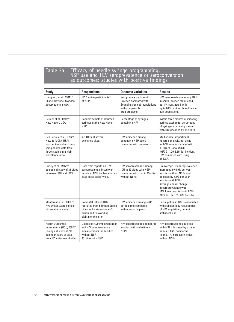## Table 3a. Efficacy of needle syringe programming. NSP use and HIV seroprevalence or seroconversion as outcomes: studies with positive findings

| <b>Study</b>                                                                                                                                                           | <b>Respondents</b>                                                                                                                     | <b>Outcome variables</b>                                                                                             | <b>Results</b>                                                                                                                                                                                                                                                                                       |
|------------------------------------------------------------------------------------------------------------------------------------------------------------------------|----------------------------------------------------------------------------------------------------------------------------------------|----------------------------------------------------------------------------------------------------------------------|------------------------------------------------------------------------------------------------------------------------------------------------------------------------------------------------------------------------------------------------------------------------------------------------------|
| Ljungberg et al., 1991 <sup>(59)</sup> .<br>Skane province, Sweden;<br>observational study.                                                                            | 182 "active participants"<br>of NSP                                                                                                    | Seroprevalence in south<br>Sweden compared with<br>Scandinavian sub-populations<br>with comparable<br>drug problems. | HIV seroprevalence among IDU<br>in south Sweden maintained<br>at ~1% contrasted with<br>up to 60% in other Scandinavian<br>sub-populations.                                                                                                                                                          |
| Heimer et al., 1993 <sup>(60)</sup> .<br>New Haven, USA.                                                                                                               | Random sample of returned<br>syringes at the New Haven<br>NSP.                                                                         | Percentage of syringes<br>containing HIV.                                                                            | Within three months of initiating<br>syringe exchange, percentage<br>of syringes containing serum<br>with HIV declined by one third.                                                                                                                                                                 |
| Des Jarlais et al., 1996 <sup>(61)</sup> .<br>New York City, USA;<br>prospective cohort study<br>using pooled data from<br>three studies in a high<br>prevalence area. | 601 IDUs at several<br>exchange sites.                                                                                                 | HIV incidence among<br>continuing NSP users<br>compared with non-users.                                              | Multivariate proportional-<br>hazards analysis, not using<br>an NSP was associated with<br>a Hazard Ratio of 3.35<br>(95% Cl 1.29, 8.65) for incident<br>HIV compared with using<br>an NSP.                                                                                                          |
| Hurley et al., 1997 <sup>(62)</sup> .<br>ecological study of 81 cities<br>between 1988 and 1993.                                                                       | Data from reports on HIV<br>seroprevalence linked with<br>details of NSP implementation<br>in 81 cities world-wide.                    | HIV seroprevalence among<br>IDU in 52 cities with NSP<br>compared with that in 29 cities<br>without NSPs.            | On average HIV seroprevalence<br>increased by 5.9% per year<br>in cities without NSPs and<br>declined by 5.8% per year<br>in cities with NSPs.<br>Average annual change<br>in seroprevalence was<br>11% lower in cities with NSPs<br>$(95\% \text{ Cl} - 17.6 \text{ to } -3.9, \text{ p} = 0.004).$ |
| Monteroso et al., 2000 (63).<br><b>Five United States cities:</b><br>observational study.                                                                              | Some 2306 street IDUs<br>recruited from 5 United States<br>cities and a state women's<br>prison and followed up<br>eight months later. | HIV incidence among NSP<br>participants compared<br>with non-participants.                                           | Participation in NSPs associated<br>with substantially reduced risk<br>of HIV acquisition, but not<br>statistically so.                                                                                                                                                                              |
| <b>Health Outcomes</b><br>International (HOI), 2002 <sup>(64)</sup> .<br>Ecological study of 778<br>calendar years of data<br>from 103 cities worldwide.               | Details of NSP implementation<br>and HIV seroprevalence<br>measurements for 67 cities<br>without NSP,<br>36 cities with NSP.           | HIV seroprevalence compared<br>in cities with and without<br>NSPs.                                                   | HIV seroprevalence in cities<br>with NSPs declined by a mean<br>annual 18.6% compared<br>to an 8.1% increase in cities<br>without NSPs.                                                                                                                                                              |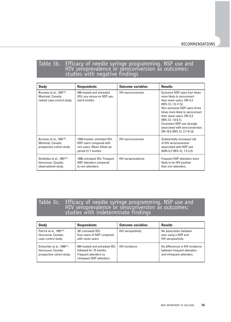## Table 3b. Efficacy of needle syringe programming. NSP use and HIV seroprevalence or seroconversion as outcomes: studies with negative findings

| <b>Study</b>                                                                              | <b>Respondents</b>                                                                                          | <b>Outcome variables</b>  | <b>Results</b>                                                                                                                                                                                                                                                                                                                                                |
|-------------------------------------------------------------------------------------------|-------------------------------------------------------------------------------------------------------------|---------------------------|---------------------------------------------------------------------------------------------------------------------------------------------------------------------------------------------------------------------------------------------------------------------------------------------------------------------------------------------------------------|
| Bruneau et al., 1997 <sup>(65)</sup> .<br>Montreal, Canada;<br>nested case-control study. | 408 treated and untreated<br>IDU; any versus no NSP use,<br>last 6 months.                                  | HIV seroconversion        | Exclusive NSP users four times<br>more likely to seroconvert<br>than never-users, OR=4.2<br>$(95\% \text{ CI}, 1.5-11.5).$<br>Non-exclusive NSP users three<br>times more likely to seroconvert<br>than never-users, OR=3.3<br>$(95\% \text{ CI}, 1.6-6.7).$<br>Consistent NSP use strongly<br>associated with seroconversion.<br>OR=10.5 (95% CI, 2.7-41.0). |
| Bruneau et al., 1997 <sup>(65)</sup> .<br>Montreal, Canada;<br>prospective cohort study.  | 1599 treated, untreated IDU.<br>NSP users compared with<br>non-users. Mean follow-up<br>period 21.7 months. | <b>HIV</b> seroconversion | Substantially increased risk<br>of HIV seroconversion<br>associated with NSP use.<br>AOR=2.2 (95% CI, 1.5-3.2).                                                                                                                                                                                                                                               |
| Strathdee et al., 1997 <sup>(66)</sup> .<br>Vancouver, Canada;<br>observational study.    | 1006 untreated IDU. Frequent<br>NSP attenders compared<br>to non-attenders.                                 | HIV seroprevalence.       | Frequent NSP attenders more<br>likely to be HIV positive<br>than non-attenders.                                                                                                                                                                                                                                                                               |

## Table 3c. Efficacy of needle syringe programming. NSP use and HIV seroprevalence or seroconversion as outcomes: studies with indeterminate findings

| <b>Study</b>                                                                                | <b>Respondents</b>                                                                                             | <b>Outcome variables</b>  | <b>Results</b>                                                                             |
|---------------------------------------------------------------------------------------------|----------------------------------------------------------------------------------------------------------------|---------------------------|--------------------------------------------------------------------------------------------|
| Patrick et al., 1997 <sup>(68)</sup> .<br>Vancouver, Canada;<br>case-control study.         | 281 untreated IDU.<br>Ever-users of NSP compared<br>with never-users.                                          | <b>HIV seropositivity</b> | No association between<br>ever using a NSP and<br>HIV seropositivity.                      |
| Schechter et al., 1999 <sup>(67)</sup> .<br>Vancouver, Canada.<br>prospective cohort study. | 694 treated and untreated IDU<br>followed for 15 months.<br>Frequent attenders vs<br>infrequent NSP attenders. | <b>HIV</b> incidence      | No differences in HIV incidence<br>between frequent attenders<br>and infrequent attenders. |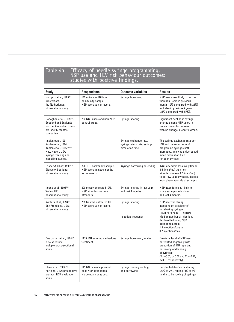## Table 4a Efficacy of needle syringe programming. NSP use and HIV risk behaviour outcomes: studies with positive findings.

| <b>Study</b>                                                                                                                                   | <b>Respondents</b>                                                       | <b>Outcome variables</b>                                                   | <b>Results</b>                                                                                                                                                                                                                      |
|------------------------------------------------------------------------------------------------------------------------------------------------|--------------------------------------------------------------------------|----------------------------------------------------------------------------|-------------------------------------------------------------------------------------------------------------------------------------------------------------------------------------------------------------------------------------|
| Hartgers et al., 1989 <sup>(69)</sup><br>Amsterdam,<br>the Netherlands;<br>observational study.                                                | 145 untreated IDUs in<br>community sample.<br>NSP users vs non-users.    | Syringe borrowing                                                          | NSP users less likely to borrow<br>than non-users in previous<br>month (10% compared with 23%)<br>and also in previous 2 years<br>(33% compared with 57%).                                                                          |
| Donoghoe et al., 1989 <sup>(70)</sup> .<br>Scotland and England;<br>prospective cohort study,<br>pre-post (2 months)<br>comparison.            | 282 NSP users and non-NSP<br>control group.                              | Syringe-sharing                                                            | Significant decline in syringe-<br>sharing among NSP users in<br>previous month compared<br>with no change in control group.                                                                                                        |
| Kaplan et al., 1991;<br>Kaplan et al., 1994;<br>Kaplan et al., 1995 (98-100).<br>New Haven, USA;<br>syringe tracking and<br>modelling studies. |                                                                          | Syringe exchange rate,<br>syringe return rate, syringe<br>circulation time | The syringe exchange rate per<br>IDU and the return rate of<br>programme syringes both<br>increased, implying a decreased<br>mean circulation time<br>for each syringe.                                                             |
| Frisher & Elliott, 1993 <sup>(71)</sup> .<br>Glasgow, Scotland;<br>observational study                                                         | 503 IDU community sample.<br>NSP users in last 6 months<br>vs non-users. | Syringe borrowing or lending                                               | NSP attenders less likely (mean<br>4.5 times/mo) than non-<br>attenders (mean 9.2 times/mo)<br>to borrow used syringes, despite<br>legal pharmacy sale of syringes.                                                                 |
| Keene et al., 1993 <sup>(72)</sup> .<br>Wales, UK;<br>observational study                                                                      | 328 mostly untreated IDU.<br>NSP attenders vs non-<br>attenders.         | Syringe-sharing in last year<br>and last 4 months                          | NSP attenders less likely to<br>share syringes in last year<br>and last 4 months.                                                                                                                                                   |
| Watters et al., 1994 <sup>(73)</sup> .<br>San Francisco, USA;<br>observational study                                                           | 752 treated, untreated IDU.<br>NSP users vs non-users.                   | Syringe-sharing<br>Injection frequency                                     | NSP use was strong<br>independent predictor of<br>not sharing syringes.<br>OR=0.71 (95% CI, 0.59-0.87).<br>Median number of injections<br>declined following NSP<br>attendance, from<br>1.9 injections/day to<br>0.7 injections/day |
| Des Jarlais et al., 1994 (74).<br>New York City;<br>multiple cross-sectional<br>study.                                                         | 1115 IDU entering methadone<br>treatment.                                | Syringe borrowing, lending                                                 | Quarterly level of NSP use<br>correlated negatively with<br>proportion of IDU reporting<br>borrowing and lending<br>of syringes<br>$(X_{-}=-0.67, p<0.02$ and $X_{-}=-0.44,$<br>p<0.13 respectively).                               |
| Oliver et al., 1994 <sup>(75)</sup> .<br>Portland, USA; prospective<br>pre-post NSP evaluation<br>study.                                       | 115 NSP clients, pre-and<br>post-NSP attendance.<br>No comparison group. | Syringe sharing, renting<br>and borrowing                                  | Substantial decline in sharing<br>(20% to 7%), renting (9% to 3%)<br>and also borrowing of syringes.                                                                                                                                |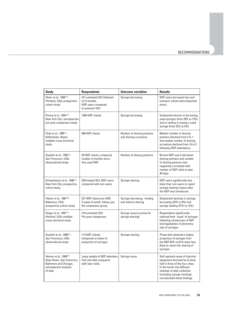| <b>Study</b>                                                                                                                       | <b>Respondents</b>                                                                    | <b>Outcome variables</b>                             | <b>Results</b>                                                                                                                                                                                                                        |
|------------------------------------------------------------------------------------------------------------------------------------|---------------------------------------------------------------------------------------|------------------------------------------------------|---------------------------------------------------------------------------------------------------------------------------------------------------------------------------------------------------------------------------------------|
| Oliver et al., 1994 <sup>(75)</sup> .<br>Portland, USA; prospective<br>cohort study.                                               | 412 untreated IDU followed<br>for 6 months.<br>NSP users compared<br>to outreach IDU. | Syringe borrowing                                    | NSP users borrowed less and<br>outreach clients (who bleached<br>more).                                                                                                                                                               |
| Paone et al., 1994 <sup>(76)</sup> .<br>New York City; retrospective<br>pre-post comparison study.                                 | 1269 NSP clients                                                                      | Syringe borrowing                                    | Substantial decline in borrowing<br>used syringes (from 29% to 12%)<br>and in renting or buying a used<br>syringe (from 22% to 6%).                                                                                                   |
| Peak et al., 1995 <sup>(77)</sup> .<br>Kathmandu, Nepal;<br>multiple cross-sectional<br>study.                                     | 586 NSP clients                                                                       | Number of sharing partners<br>and sharing occasions. | Median number of sharing<br>partners declined from 2 to 1<br>and median number of sharing<br>occasions declined from 14 to 2<br>following NSP attendance.                                                                             |
| Guydish et al., 1995 <sup>(78)</sup> .<br>San Francisco, USA;<br>observational study                                               | 50 NSP clients; compared<br>number of months since<br>first used NSP.                 | Number of sharing partners                           | Recent NSP users had fewer<br>sharing partners and number<br>of sharing partners was<br>negatively correlated with<br>number of NSP visits in past<br>30 days.                                                                        |
| Schoenbaum et al., 1996 <sup>(79)</sup> .<br>New York City; prospective<br>cohort study.                                           | 329 treated IDU, NSP users<br>compared with non-users.                                | Syringe-sharing                                      | NSP users significantly less<br>likely than non-users to report<br>syringe sharing 4 years after<br>the NSP was introduced.                                                                                                           |
| Vlahov et al., 1997 <sup>(80)</sup> .<br>Baltimore, USA;<br>prospective cohort study.                                              | 221 NSP clients pre-NSP,<br>2 week, 6 month, follow-ups.<br>No comparison group.      | Syringe-borrowing, -lending<br>and indirect sharing  | Substantial declines in syringe<br>borrowing (22% to 8%) and<br>syringe lending (27% to 12%).                                                                                                                                         |
| Singer et al., 1997 <sup>(81)</sup> .<br>Hartford, USA; multiple<br>cross-sectional study.                                         | 710 untreated IDU;<br>Pre-post comparison.                                            | Syringe reuse (a proxy for<br>syringe sharing)       | Respondents significantly<br>reduced their 'reuse' of syringes<br>following introduction of NSP<br>and legalization of pharmacy<br>sale of syringes.                                                                                  |
| Guydish et al., 1998 <sup>(82)</sup> .<br>San Francisco, USA;<br>observational study                                               | 114 NSP clients;<br>Compared on basis of<br>proportion of syringes                    | Syringe-sharing                                      | Those who obtained a higher<br>proportion of syringes from<br>the NSP 92% vs 81% were less<br>likely to report the sharing of<br>syringes.                                                                                            |
| Heimer et al., 1998 <sup>(83)</sup> .<br>New Haven, San Francisco,<br>Baltimore and Chicago;<br>retrospective analysis<br>of data. | Large sample of NSP attenders;<br>first visit data compared<br>with later visits.     | Syringe reuse                                        | Self reported reuse of injection<br>equipment declined by at least<br>half in three of the four cities.<br>In the fourth city different<br>methods of data collection<br>(including syringe tracking)<br>corroborated these findings. |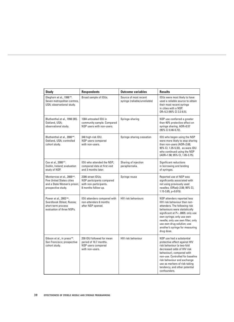| <b>Study</b>                                                                                                                       | <b>Respondents</b>                                                                              | <b>Outcome variables</b>                               | <b>Results</b>                                                                                                                                                                                                                                                                                                      |
|------------------------------------------------------------------------------------------------------------------------------------|-------------------------------------------------------------------------------------------------|--------------------------------------------------------|---------------------------------------------------------------------------------------------------------------------------------------------------------------------------------------------------------------------------------------------------------------------------------------------------------------------|
| Gleghorn et al., 1998 <sup>(84)</sup> .<br>Seven metropolitan centres,<br>USA; observational study.                                | Broad sample of IDUs.                                                                           | Source of most recent<br>syringe (reliable/unreliable) | IDUs were most likely to have<br>used a reliable source to obtain<br>their most recent syringe<br>in cities with a NSP.<br>OR=5.3 (95% CI 3.3-8.5).                                                                                                                                                                 |
| Bluthenthal et al., 1998 (85).<br>Oakland, USA;<br>observational study.                                                            | 1304 untreated IDU in<br>community sample. Compared<br>NSP users with non-users.                | Syringe-sharing                                        | NSP use conferred a greater<br>than 40% protective effect on<br>syringe sharing. AOR=0.57<br>(95% CI 0.46-0.72).                                                                                                                                                                                                    |
| Bluthenthal et al., 2000 (86).<br>Oakland, USA; controlled<br>cohort study.                                                        | 340 high-risk IDU.<br>NSP users compared<br>with non-users.                                     | Syringe-sharing cessation                              | IDU who began using the NSP<br>were more likely to stop sharing<br>than non-users (AOR=2.68;<br>95% Cl, 1.35-5.33), as were IDU<br>who continued using the NSP<br>(AOR=1.98; 95% CI, 1.05-3.75).                                                                                                                    |
| Cox et al., 2000 (87).<br>Dublin, Ireland; evaluation<br>study of NSP.                                                             | IDU who attended the NSP;<br>compared data at first visit<br>and 3 months later.                | Sharing of injection<br>paraphernalia.                 | Significant reductions<br>in borrowing and lending<br>of syringes.                                                                                                                                                                                                                                                  |
| Monterroso et al., 2000 <sup>(63)</sup> .<br><b>Five United States cities</b><br>and a State Women's prison;<br>prospective study. | 2306 street IDUs:<br>NSP participants compared<br>with non-participants.<br>8 months follow-up. | Syringe reuse                                          | Reported use of NSP was<br>significantly associated with<br>not using previously used<br>needles. (ORadj=2.08; 95% CI,<br>1.15-3.85, p=0.015).                                                                                                                                                                      |
| Power et al., 2002 <sup>(88)</sup> .<br>Sverdlovsk Oblast, Russia;<br>short-term process<br>evaluation of three NSPs.              | IDU attenders compared with<br>non-attenders 6 months<br>after NSP opened.                      | <b>HIV risk behaviours</b>                             | NSP attenders reported less<br>HIV risk behaviour than non-<br>attenders. The following risk<br>behaviours were statistically<br>significant at P<-.0005: only use<br>own syringe; only use own<br>needle; only use own filter; only<br>use own drug solution; use<br>another's syringe for measuring<br>drug dose. |
| Gibson et al., in press (90).<br>San Francisco; prospective<br>cohort study.                                                       | 259 IDU followed for mean<br>period of 10.7 months.<br>NSP users compared<br>with non-users.    | <b>HIV risk behaviour</b>                              | NSP use had a substantial<br>protective effect against HIV<br>risk behaviour (a two-fold<br>decreased odds of HIV risk<br>behaviour), compared with<br>non-use. Controlled for baseline<br>risk behaviour and exchange<br>use as markers of risk-taking<br>tendency, and other potential<br>confounders.            |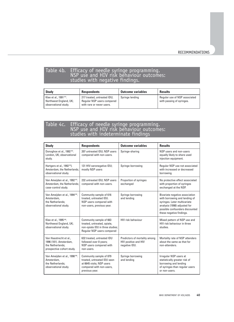## Table 4b. Efficacy of needle syringe programming. NSP use and HIV risk behaviour outcomes: studies with negative findings.

| <b>Study</b>                                                                          | <b>Respondents</b>                                                                     | <b>Outcome variables</b> | <b>Results</b>                                             |
|---------------------------------------------------------------------------------------|----------------------------------------------------------------------------------------|--------------------------|------------------------------------------------------------|
| Klee et al., 1991 <sup>(91)</sup> .<br>Northwest England, UK;<br>observational study. | 217 treated, untreated IDU;<br>Regular NSP users compared<br>with rare or never users. | Syringe lending          | Regular use of NSP associated<br>with passing of syringes. |

## Table 4c. Efficacy of needle syringe programming. NSP use and HIV risk behaviour outcomes: studies with indeterminate findings

| <b>Study</b>                                                                                          | <b>Respondents</b>                                                                                                                | <b>Outcome variables</b>                                               | <b>Results</b>                                                                                                                                                                                 |
|-------------------------------------------------------------------------------------------------------|-----------------------------------------------------------------------------------------------------------------------------------|------------------------------------------------------------------------|------------------------------------------------------------------------------------------------------------------------------------------------------------------------------------------------|
| Donoghoe et al., 1992 <sup>(92)</sup> .<br>London, UK; observational<br>study.                        | 207 untreated IDU; NSP users<br>compared with non-users.                                                                          | Syringe-sharing                                                        | NSP users and non-users<br>equally likely to share used<br>injection equipment.                                                                                                                |
| Hartgers et al., 1992 <sup>(93</sup> ).<br>Amsterdam, the Netherlands;<br>observational study.        | 131 HIV-seronegative IDU;<br>mostly NSP users                                                                                     | Syringe-borrowing                                                      | Regular NSP use not associated<br>with increased or decreased<br>borrowing.                                                                                                                    |
| Van Ameijden et al., 1992 <sup>(97)</sup> .<br>Amsterdam, the Netherlands;<br>case-control study.     | 232 untreated IDU; NSP users<br>compared with non-users.                                                                          | Proportion of syringes<br>exchanged                                    | No protective effect associated<br>with proportion of syringes<br>exchanged at the NSP.                                                                                                        |
| Van Ameijden et al., 1994 (94).<br>Amsterdam,<br>the Netherlands:<br>observational study.             | Community sample of 616<br>treated, untreated IDU.<br>NSP users compared with<br>non-users, previous year.                        | Syringe borrowing<br>and lending                                       | Bivariate negative association<br>with borrowing and lending of<br>syringes. Later multivariate<br>analysis (1998) adjusted for<br>possible confounders discounted<br>these negative findings. |
| Klee et al., 1995 <sup>(95)</sup> .<br>Northwest England, UK;<br>observational study.                 | Community sample of 663<br>treated, untreated, opiate,<br>non-opiate IDU in three studies;<br>Regular NSP users compared          | <b>HIV risk behaviour</b>                                              | Mixed pattern of NSP use and<br>HIV risk behaviour in three<br>studies.                                                                                                                        |
| Van Haastrecht et al.,<br>1996 (101). Amsterdam,<br>the Netherlands;<br>prospective cohort study.     | 632 treated, untreated IDU<br>followed over 8 years;<br>NSP users compared with<br>non-users.                                     | Predictors of mortality among<br>HIV positive and HIV<br>negative IDU. | Mortality rate of NSP attenders<br>about the same as that for<br>non-attenders.                                                                                                                |
| Van Ameijden et al., 1998 <sup>(96)</sup> .<br>Amsterdam.<br>the Netherlands:<br>observational study. | Community sample of 879<br>treated, untreated IDU seen<br>at 6645 visits; NSP users<br>compared with non-users,<br>previous year. | Syringe borrowing<br>and lending                                       | Irregular NSP users at<br>statistically greater risk of<br>borrowing and lending<br>of syringes than regular users<br>or non-users.                                                            |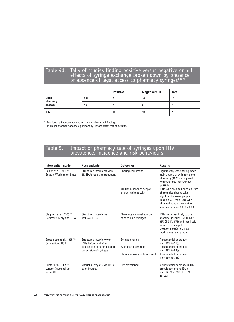## Table 4d. Tally of studies finding positive versus negative or null<br>effects of syringe exchange broken down by presence or absence of legal access to pharmacy syringes<sup>1 (89)</sup>

|                   |     | <b>Positive</b> | <b>Negative/null</b> | <b>Total</b> |
|-------------------|-----|-----------------|----------------------|--------------|
| Legal<br>pharmacy | Yes | л.              | 13                   | 18           |
| access?           | No  |                 |                      |              |
| <b>Total</b>      |     | 12              | 13                   | 25           |

<sup>1</sup> Relationship between positive versus negative or null findings and legal pharmacy access significant by Fisher's exact test at p<0.002.

# Table 5. Impact of pharmacy sale of syringes upon HIV prevalence, incidence and risk behaviours

| <b>Intervention study</b>                                                    | <b>Respondents</b>                                                                                                   | <b>Outcomes</b>                                                           | <b>Results</b>                                                                                                                                                                                                                                                                                                                       |
|------------------------------------------------------------------------------|----------------------------------------------------------------------------------------------------------------------|---------------------------------------------------------------------------|--------------------------------------------------------------------------------------------------------------------------------------------------------------------------------------------------------------------------------------------------------------------------------------------------------------------------------------|
| Caslyn et al., 1991 (162)<br>Seattle, Washington State                       | Structured interviews with<br>313 IDUs receiving treatment.                                                          | Sharing equipment<br>Median number of people<br>shared syringes with      | Significantly less sharing when<br>main source of syringes is the<br>pharmacy (16.2%) compared<br>with other sources (30.6%)<br>(p<0.01)<br>IDUs who obtained needles from<br>pharmacies shared with<br>significantly fewer people<br>(median-2.0) than IDUs who<br>obtained needles from other<br>sources (median-3.0) ( $p<0.05$ ) |
| Gleghorn et al., 1995 <sup>(119)</sup> .<br>Baltimore, Maryland, USA.        | Structured interviews<br>with 466 IDUs                                                                               | Pharmacy as usual source<br>of needles & syringes                         | IDUs were less likely to use<br>shooting galleries: (AOR 0.33;<br>95%Cl 0.14, 0.75) and less likely<br>to have been in jail<br>(AOR 0.45; 95%CI 0.23, 0.87)<br>(add comparison group)                                                                                                                                                |
| Groseclose et al., 1995 <sup>(164)</sup> .<br>Connecticut, USA.              | Structured interview with<br><b>IDUs before and after</b><br>legalization of purchase and<br>possession of syringes. | Syringe sharing<br>Ever shared syringes<br>Obtaining syringes from street | A substantial decrease<br>from 52% to 31%<br>A substantial decrease<br>from 68% to 52%<br>A substantial decrease<br>from 88% to 74%                                                                                                                                                                                                  |
| Hunter et al., 1995 <sup>(163)</sup> .<br>London (metropolitan<br>area), UK. | Annual survey of ~515 IDUs<br>over 4 years.                                                                          | <b>HIV</b> prevalence                                                     | A substantial decrease in HIV<br>prevalence among IDUs<br>from 12.8% in 1990 to 6.9%<br>in 1993                                                                                                                                                                                                                                      |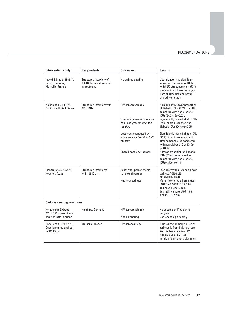#### RECOMMENDATIONS

| <b>Intervention study</b>                                                                | <b>Respondents</b>                                                   | <b>Outcomes</b>                                                                                                                                                                                   | <b>Results</b>                                                                                                                                                                                                                                                                                                                                                                                                                                                                                    |
|------------------------------------------------------------------------------------------|----------------------------------------------------------------------|---------------------------------------------------------------------------------------------------------------------------------------------------------------------------------------------------|---------------------------------------------------------------------------------------------------------------------------------------------------------------------------------------------------------------------------------------------------------------------------------------------------------------------------------------------------------------------------------------------------------------------------------------------------------------------------------------------------|
| Ingold & Ingold, 1989 (161).<br>Paris, Bordeaux,<br>Marseille, France.                   | Structured interview of<br>280 IDUs from street and<br>in treatment. | No syringe sharing                                                                                                                                                                                | Liberalization had significant<br>impact on behaviour of IDUs,<br>with 52% street sample, 40% in<br>treatment purchased syringes<br>from pharmacies and never<br>shared with others                                                                                                                                                                                                                                                                                                               |
| Nelson et al., 1991(117).<br><b>Baltimore, United States</b>                             | Structured interview with<br>2921 IDUs.                              | <b>HIV</b> seroprevalence<br>Used equipment no one else<br>had used greater than half<br>the time<br>Used equipment used by<br>someone else less than half<br>the time<br>Shared needles>1 person | A significantly lower proportion<br>of diabetic IDUs (9.8%) had HIV<br>compared with non-diabetic<br>IDUs (24.3%) (p=0.03).<br>Significantly more diabetic IDUs<br>(77%) shared less than non-<br>diabetic IDUs $(64%) (p<0.05)$<br>Significantly more diabetic IDUs<br>(90%) did not use equipment<br>after someone else compared<br>with non-diabetic IDUs (78%)<br>(p<0.01)<br>A lower proportion of diabetic<br>IDUs (37%) shared needles<br>compared with non-diabetic<br>IDUs(48%) (p<0.14) |
| Richard et al., 2002 (167).<br>Houston, Texas                                            | Structured interviews<br>with 108 IDUs.                              | Inject after person that is<br>not sexual partner<br>Has new syringes                                                                                                                             | Less likely when IDU has a new<br>syringe: AOR 0.236<br>(95%CI 0.06, 0.89)<br>More likely to be a heroin user<br>(AOR 1.49; 95%Cl 1.18, 1.88)<br>and have higher social<br>desirability score (AOR 1.69;<br>95% CI 1.11, 2.56)                                                                                                                                                                                                                                                                    |
| <b>Syringe vending machines</b>                                                          |                                                                      |                                                                                                                                                                                                   |                                                                                                                                                                                                                                                                                                                                                                                                                                                                                                   |
| Heinemann & Gross,<br>2001 <sup>(166)</sup> , Cross-sectional<br>study of IDUs in prison | Hamburg, Germany                                                     | HIV seroprevalence<br>Needle-sharing                                                                                                                                                              | No cases identified during<br>program<br>Decreased significantly                                                                                                                                                                                                                                                                                                                                                                                                                                  |
| Obadia et al, 1999 (165).<br>Questionnaires applied<br>to 343 IDUs                       | Marseille, France                                                    | <b>HIV seropositivity</b>                                                                                                                                                                         | IDUs whose primary source of<br>syringes is from SVM are less<br>likely to have positive HIV<br>(OR 0.5; 95%CI 0.2, 0.9)<br>not significant after adjustment                                                                                                                                                                                                                                                                                                                                      |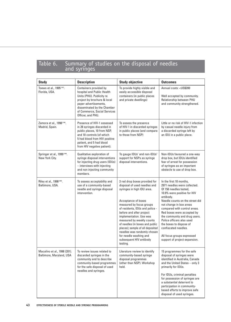# Table 6. Summary of studies on the disposal of needles and syringes

| <b>Study</b>                                             | <b>Description</b>                                                                                                                                                                                                            | <b>Study objective</b>                                                                                                                                                                                                                                                                                                                                                                                                                       | <b>Outcomes</b>                                                                                                                                                                                                                                                                                                                                                                                                                           |
|----------------------------------------------------------|-------------------------------------------------------------------------------------------------------------------------------------------------------------------------------------------------------------------------------|----------------------------------------------------------------------------------------------------------------------------------------------------------------------------------------------------------------------------------------------------------------------------------------------------------------------------------------------------------------------------------------------------------------------------------------------|-------------------------------------------------------------------------------------------------------------------------------------------------------------------------------------------------------------------------------------------------------------------------------------------------------------------------------------------------------------------------------------------------------------------------------------------|
| Toews et al., 1995 <sup>(197)</sup> .<br>Florida, USA.   | Containers provided by<br>hospital and Public Health<br>Units (PHU). Publicity re<br>project by brochure & local<br>paper advertisements,<br>disseminated by the Chamber<br>of Commerce, Social Services<br>Officer, and PHU. | To provide highly visible and<br>easily accessible disposal<br>containers (in public places<br>and private dwellings)                                                                                                                                                                                                                                                                                                                        | Annual costs: < US\$200<br>Well accepted by community.<br>Relationship between PHU<br>and community strengthened.                                                                                                                                                                                                                                                                                                                         |
| Zamora et al., 1998 <sup>(198)</sup> .<br>Madrid, Spain. | Presence of HIV-1 assessed<br>in 28 syringes discarded in<br>public places, 10 from NSP,<br>and 10 controls (of which<br>5 had blood from HIV positive<br>patient, and 5 had blood<br>from HIV negative patient).             | To assess the presence<br>of HIV-1 in discarded syringes<br>in public places (and compare<br>to those from NSP)                                                                                                                                                                                                                                                                                                                              | Little or no risk of HIV-1 infection<br>by casual needle injury from<br>a discarded syringe left by<br>an IDU in a public place.                                                                                                                                                                                                                                                                                                          |
| Springer et al., 1999 (199).<br>New York City.           | Qualitative exploration of<br>syringe disposal interventions<br>for injecting drug users (IDUs)<br>- interviews with injecting<br>and non injecting community<br>members.                                                     | To gauge IDUs' and non-IDUs'<br>support for NSPs as syringe<br>disposal interventions.                                                                                                                                                                                                                                                                                                                                                       | Non-IDUs favoured a one-way<br>drop box, but IDUs identified<br>fear of arrest for possession<br>of syringes as an important<br>obstacle to use of drop box.                                                                                                                                                                                                                                                                              |
| Riley et al., 1998 <sup>(200)</sup> .<br>Baltimore, USA. | To assess acceptability and<br>use of a community-based<br>needle and syringe disposal<br>intervention.                                                                                                                       | 3 red drop boxes provided for<br>disposal of used needles and<br>syringes in high IDU area.<br>Acceptance of boxes<br>measured by focus groups<br>of residents, IDUs and police -<br>before and after project<br>implementation. Use was<br>measured by weekly counts<br>of needles (in boxes and public<br>places); sample of all deposited<br>needles was randomly chosen<br>for needle washing and<br>subsequent HIV antibody<br>testing. | In the first 10 months,<br>2971 needles were collected.<br>Of 156 needles tested,<br>10.9% were positive for HIV<br>antibody.<br>Needle counts on the street did<br>not change in box areas<br>compared with control areas.<br>Red boxes were accepted by<br>the community and drug users.<br>Police officers also used<br>the boxes to dispose of<br>confiscated needles.<br>All focus groups expressed<br>support of project expansion. |
| Macalino et al., 1998 (201).<br>Baltimore, Maryland, USA | To review issues related to<br>discarded syringes in the<br>community and to describe<br>community-based programmes<br>for the safe disposal of used<br>needles and syringes.                                                 | Literature review to identify<br>community-based syringe<br>disposal programmes<br>(other than NSP). Workshop<br>held.                                                                                                                                                                                                                                                                                                                       | 15 programmes for the safe<br>disposal of syringes were<br>identified in Australia, Canada<br>and the United States - only 3<br>primarily for IDUs.<br>For IDUs, criminal penalties<br>for possession of syringes are<br>a substantial deterrent to<br>participation in community-<br>based efforts to improve safe<br>disposal of used syringes.                                                                                         |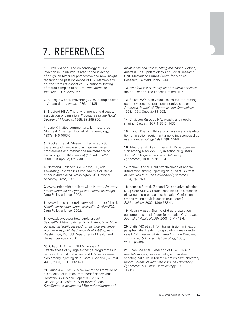## 7. REFERENCES

**1.** Burns SM et al. The epidemiology of HIV infection in Edinburgh related to the injecting of drugs: an historical perspective and new insight regarding the past incidence of HIV infection and derived from retrospective HIV antibody testing of stored samples of serum. The Journal of Infection, 1996, 32:53-62.

**2.** Buning EC et al. Preventing AIDS in drug addicts in Amsterdam. Lancet, 1986, 1:1435.

**3.** Bradford Hill A. The environment and disease: association or causation. Procedures of the Royal Society of Medicine, 1965, 58:295-300.

**4.** Lurie P. Invited commentary: le mystere de Montreal. American Journal of Epidemiology, 1997a, 146:1003-6.

**5.** Drucker E et al. Measuring harm reduction: the effects of needle and syringe exchange programmes and methadone maintenance on the ecology of HIV. (Review) (105 refs). AIDS, 1998, 12(Suppl. A):S217-30.

**6.** Normand J, Vlahov D & Moses, LE, eds. Preventing HIV transmission: the role of sterile needles and bleach. Washington DC, National Academy Press, 1995.

**7.** www.lindesmith.org/library/lipp14.html, Fourteen article abstracts on syringe and needle exchange. Drug Policy alliance, 2002.

**8.** www.lindesmith.org/library/syringe\_index2.html, Needle exchange/syringe availability & HIV/AIDS. Drug Policy alliance, 2002.

**9.** www.dogwoodcentre.org/references/ Satcher00b2.html, Satcher D, MD. Annotated bibliography: scientific research on syringe exchange programmes published since April 1998 - part 2. Washington, DC, US Department of Health and Human Services, 2000.

**10.** Gibson DR, Flynn NM & Perales D. Effectiveness of syringe exchange programmes in reducing HIV risk behaviour and HIV seroconversion among injecting drug users. (Review) (67 refs). AIDS, 2001, 15(11):1329-41.

**11.** Druce J & Birch C. A review of the literature on disinfection of Human Immunodeficiency virus, Hepatitis B Virus and Hepatitis C virus. In: McGeorge J, Crofts N, & Burrows C, eds. Disaffected or disinfected? The redevelopment of

disinfection and safe injecting messages, Victoria, Australia. The Epidemiology and Social Research Unit, Macfarlane Burnet Centre for Medical Research, Fairfield, 1995, 3-14.

**12.** Bradford Hill A. Principles of medical statistics. 9th ed. London, The Lancet Limited, 1971.

**13.** Spitzer WO. Bias versus causality: interpreting recent evidence of oral contraceptive studies. American Journal of Obstetrics and Gynecology, 1998, 179(3 Suppl.):43S-50S.

**14.** Chaisson RE et al. HIV, bleach, and needlesharing. Lancet, 1987, 1(8547):1430.

**15.** Vlahov D et al. HIV seroconversion and disinfection of injection equipment among intravenous drug users. Epidemiology, 1991, 2(6):444-6.

**16.** Titus S et al. Bleach use and HIV seroconversion among New York City injection drug users. Journal of Acquired Immune Deficiency Syndromes, 1994, 7(7):700-4.

**17.** Vlahov D et al. Field effectiveness of needle disinfection among injecting drug users. Journal of Acquired Immune Deficiency Syndromes, 1994, 7(7):760-6.

**18.** Kapadia F et al. (Second Collaborative Injection Drug User Study, Group), Does bleach disinfection of syringes protect against hepatitis C infection among young adult injection drug users? Epidemiology, 2002, 13(6):738-41.

**19.** Hagan H et al. Sharing of drug preparation equipment as a risk factor for hepatitis C. American Journal of Public Health, 2001, 91(1):42-6.

**20.** Clatts MC et al. HIV-1 transmission in injection paraphernalia: Heating drug solutions may inactivate HIV-1. Journal of Acquired Immune Deficiency Syndromes & Human Retrovirology, 1999, 22(2):194-199.

**21.** Shah SM et al. Detection of HIV-1 DNA in needle/syringes, paraphernalia, and washes from shooting galleries in Miami: a preliminary laboratory report. Journal of Acquired Immune Deficiency Syndromes & Human Retrovirology, 1996, 11(3):301-6.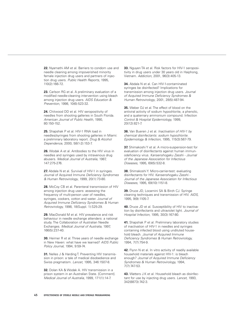**22.** Nyamathi AM et al. Barriers to condom use and needle cleaning among impoverished minority female injection drug users and partners of injection drug users. Public Health Reports, 1995, 110(2):166-72.

**23.** Carlson RG et al. A preliminary evaluation of a modified needle-cleaning intervention using bleach among injection drug users. AIDS Education & Prevention, 1998, 10(6):523-32.

**24.** Chitwood DD et al. HIV seropositivity of needles from shooting galleries in South Florida. American Journal of Public Health, 1990, 80:150-152.

**25.** Shapshak P et al. HIV-1 RNA load in needles/syringes from shooting galleries in Miami: a preliminary laboratory report. Drug & Alcohol Dependence, 2000, 58(1-2):153-7.

**26.** Wodak A et al. Antibodies to the HIV virus in needles and syringes used by intravenous drug abusers. Medical Journal of Australia, 1987, 147:275-276.

**27.** Abdala N et al. Survival of HIV-1 in syringes. Journal of Acquired Immune Deficiency Syndromes & Human Retrovirology, 1999, 20(1):73-80.

**28.** McCoy CB et al. Parenteral transmission of HIV among injection drug users: assessing the frequency of multi-person user of needles, syringes, cookers, cotton and water. Journal of Acquired Immune Deficiency Syndromes & Human Retrovirology, 1998, 18(Suppl. 1):S25-29.

**29.** MacDonald M et al. HIV prevalence and risk behaviour in needle exchange attenders: a national study. The Collaboration of Australian Needle Exchanges. Medical Journal of Australia, 1997, 166(5):237-40.

**30.** Heimer R et al. Three years of needle exchange in New Haven: what have we learned? AIDS Public Policy Journal, 1994, 9:59-74.

**31.** Nelles J & Harding T. Preventing HIV transmission in prison: a tale of medical disobedience and Swiss pragmatism. Lancet, 1995, 346:1507-8.

**32.** Dolan KA & Wodak A. HIV transmission in a prison system in an Australian State. [Comment]. Medical Journal of Australia, 1999, 171(1):14-7.

**33.** Nguyen TA et al. Risk factors for HIV-1 seropositivity in drug users under 30 years old in Haiphong, Vietnam. Addiction, 2001, 96(3):405-13.

**34.** Abdala N et al. Can HIV-1-contaminated syringes be disinfected? Implications for transmission among injection drug users. Journal of Acquired Immune Deficiency Syndromes & Human Retrovirology, 2001, 28(5):487-94.

**35.** Weber DJ et al. The effect of blood on the antiviral activity of sodium hypochlorite, a phenolic, and a quaternary ammonium compound. Infection Control & Hospital Epidemiology, 1999, 20(12):821-7.

**36.** Van Bueren J et al. *Inactivation of HIV-1 by* chemical disinfectants: sodium hypochlorite. Epidemiology & Infection, 1995, 115(3):567-79.

**37.** Shimakoshi Y et al. A micro-suspension-test for evaluation of disinfectants against human immunodeficiency virus. Kansenshogaku Zasshi - Journal of the Japanese Association for Infectious Diseases, 1995, 69(5):532-8.

**38.** Shimakoshi Y. Micro-carrier-test: evaluating disinfectants for HIV. Kansenshogaku Zasshi - Journal of the Japanese Association for Infectious Diseases, 1995, 69(10):1151-8.

**39.** Druce JD, Locarnini SA & Birch CJ. Syringe cleaning techniques and transmission of HIV. AIDS, 1995, 9(9):1105-7.

**40.** Druce JD et al. Susceptibility of HIV to inactivation by disinfectants and ultraviolet light. Journal of Hospital Infection, 1995, 30(3):167-80.

**41.** Shapshak P et al. Preliminary laboratory studies of inactivation of HIV-1 in needles and syringes containing infected blood using undiluted household bleach. Journal of Acquired Immune Deficiency Syndromes & Human Retrovirology, 1994, 7(7):754-9.

**42.** Flynn N et al. In vitro activity of readily available household materials against HIV-1: is bleach enough? Journal of Acquired Immune Deficiency Syndromes & Human Retrovirology, 1994, 7(7):747-53.

**43.** Watters J.K et al. Household bleach as disinfectant for use by injecting drug users. Lancet, 1993, 342(8873):742-3.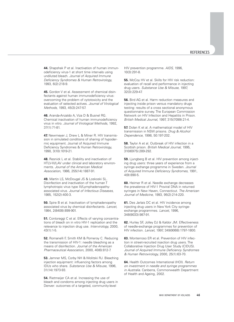**44.** Shapshak P et al. Inactivation of human immunodeficiency virus-1 at short time intervals using undiluted bleach. Journal of Acquired Immune Deficiency Syndromes & Human Retrovirology, 1993, 6(2):218-9.

**45.** Gordon V et al. Assessment of chemical disinfectants against human immunodeficiency virus: overcoming the problem of cytotoxicity and the evaluation of selected actives. Journal of Virological Methods, 1993, 45(3):247-57.

**46.** Aranda-Anzaldo A, Viza D & Busnel RG. Chemical inactivation of human immunodeficiency virus in vitro. Journal of Virological Methods, 1992, 37(1):71-81.

**47.** Newmeyer J, Drew L & Miner R. HIV transmission in simulated conditions of sharing of hypodermic equipment. Journal of Acquired Immune Deficiency Syndromes & Human Retrovirology, 1990, 3(10):1019-21.

**48.** Resnick L et al. Stability and inactivation of HTLV-III/LAV under clinical and laboratory environments. Journal of the American Medical Association, 1986, 255(14):1887-91.

**49.** Martin LS, McDougal JS & Loskoski SL. Disinfection and inactivation of the human T lymphotropic virus type III/Lymphadenopathyassociated virus. Journal of Infectious Diseases, 1985, 152(2):400-3.

**50.** Spire B et al. Inactivation of lymphadenopathy associated virus by chemical disinfectants. Lancet, 1984, 2(8408):899-901.

**51.** Contoreggi C et al. Effects of varying concentrations of bleach on in vitro HIV-1 replication and the relevance to injection drug use. Intervirology, 2000, 43(1):1-5.

**52.** Romanelli F, Smith KM & Pomeroy C. Reducing the transmission of HIV-1: needle bleaching as a means of disinfection. Journal of the American Pharmaceutical Association, 2000, 40(6):812-7.

**53.** Jamner MS, Corby NH & Wolitski RJ. Bleaching injection equipment: influencing factors among IDUs who share. Substance Use & Misuse, 1996, 31(14):1973-93.

**54.** Rietmeijer CA et al. Increasing the use of bleach and condoms among injecting drug users in Denver: outcomes of a targeted, community-level

HIV prevention programme. AIDS, 1996, 10(3):291-8.

**55.** McCoy HV et al. Skills for HIV risk reduction: evaluation of recall and performance in injecting drug users. Substance Use & Misuse, 1997, 32(3):229-47.

**56.** Bird AG et al. Harm reduction measures and injecting inside prison versus mandatory drugs testing: results of a cross sectional anonymous questionnaire survey. The European Commission Network on HIV Infection and Hepatitis in Prison. British Medical Journal, 1997, 315(7099):21-4.

**57.** Dolan K et al. A mathematical model of HIV transmission in NSW prisons. Drug & Alcohol Dependence, 1998, 50:197-202.

**58.** Taylor A et al. Outbreak of HIV infection in a Scottish prison. British Medical Journal, 1995, 310(6975):289-292.

**59.** Ljungberg B et al. HIV prevention among injecting drug users: three years of experience from a syringe exchange programme in Sweden. Journal of Acquired Immune Deficiency Syndromes, 1991, 4(9):890-5.

**60.** Heimer R et al. Needle exchange decreases the prevalence of HIV-1 Proviral DNA in returned syringes in New Haven, Connecticut. The American Journal of Medicine, 1993, 95(2):214-220.

**61.** Des Jarlais DC et al. HIV incidence among injecting drug users in New York City syringeexchange programmes. Lancet, 1996, 348(9033):987-91.

**62.** Hurley SF, Jolley DJ & Kaldor JM. Effectiveness of needle-exchange programmes for prevention of HIV infection. Lancet, 1997, 349(9068):1797-1800.

**63.** Monterroso ER et al. Prevention of HIV infection in street-recruited injection drug users. The Collaborative Injection Drug User Study (CIDUS). Journal of Acquired Immune Deficiency Syndromes & Human Retrovirology, 2000, 25(1):63-70.

**64.** Health Outcomes International (HOI). Return on investment in needle and syringe programmes in Australia. Canberra, Commonwealth Department of Health and Ageing, 2002.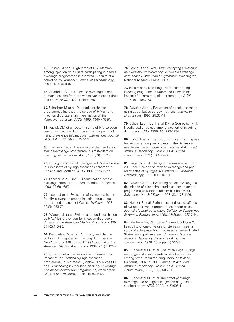**65.** Bruneau J et al. High rates of HIV infection among injection drug users participating in needle exchange programmes in Montreal: Results of a cohort study. American Journal of Epidemiology, 1997, 146:994-1002.

**66.** Strathdee SA et al. Needle exchange is not enough: lessons from the Vancouver injecting drug use study. AIDS, 1997, 11(8):F59-65.

**67.** Schechter M et al. Do needle exchange programmes increase the spread of HIV among injection drug users: an investigation of the Vancouver outbreak. AIDS, 1999, 13(6):F45-51.

**68.** Patrick DM et al. Determinants of HIV seroconversion in injection drug users during a period of rising prevalence in Vancouver. International Journal of STD & AIDS, 1997, 8:437-445.

**69.** Hartgers C et al. The impact of the needle and syringe-exchange programme in Amsterdam on injecting risk behaviour. AIDS, 1989, 3(9):571-6.

**70.** Donoghoe MC et al. Changes in HIV risk behaviour in clients of syringe-exchanges schemes in England and Scotland. AIDS, 1989, 3:267-272.

**71.** Frischer M & Elliot L. Discriminating needle exchange attender from non-attenders. Addiction, 1993, 88:681-687.

**72.** Keene J et al. Evaluation of syringe-exchange for HIV prevention among injecting drug users in rural and urban areas of Wales. Addiction, 1993, 88(8):1063-70.

**73.** Watters JK et al. Syringe and needle exchange as HIV/AIDS prevention for injection drug users. Journal of the American Medical Association, 1994, 271(2):115-20.

**74.** Des Jarlais DC et al. Continuity and change within an HIV epidemic. Injecting drug users in New York City, 1984 through 1992. Journal of the American Medical Association, 1994, 271(2):121-7.

**75.** Oliver KJ et al. Behavioural and community impact of the Portland syringe exchange programme. In: Normand J, Vlahov D & Moses LE eds., Proceedings: Workshop on needle exchange and bleach distribution programmes, Washington, DC, National Academy Press, 1994:35-46.

**76.** Paone D et al. New York City syringe exchange: an overview. In: Workshop on Needle Exchange and Bleach Distribution Programmes. Washington, National Academy Press, 1994.

**77.** Peak A et al. Declining risk for HIV among injecting drug users in Kathmandu, Nepal: the impact of a harm-reduction programme. AIDS, 1995, 9(9):1067-70.

**78.** Guydish J et al. Evaluation of needle exchange using street-based survey methods. Journal of Drug Issues, 1995, 25:33-41.

**79.** Schoenbaum EE, Hartel DM & Gourevitch MN. Needle exchange use among a cohort of injecting drug users. AIDS, 1996, 10:1729-1734.

**80.** Vlahov D et al., Reductions in high-risk drug use behaviours among participants in the Baltimore needle exchange programme. Journal of Acquired Immune Deficiency Syndromes & Human Retrovirology, 1997, 16:400-406.

**81.** Singer M et al. Changing the environment of AIDS risk: findings on syringe exchange and pharmacy sales of syringes in Hartford, CT. Medical Anthropology, 1997, 18(1):107-30.

**82.** Guydish J et al. Evaluating needle exchange: a description of client characteristics, health status, programme utilization, and HIV risk behaviour. Substance Use & Misuse, 1998, 33:1173-1196.

**83.** Heimer R et al. Syringe use and reuse: effects of syringe exchange programmes in four cities. Journal of Acquired Immune Deficiency Syndromes & Human Retrovirology, 1998, 18(Suppl. 1):S37-44.

**84.** Gleghorn AA, Wright-De Aguero L & Flynn C. Feasibility of one-time use of sterile syringes: a study of active injection drug users in seven United States Metropolitan areas. Journal of Acquired Immune Deficiency Syndromes & Human Retrovirology, 1998, 18(Suppl. 1):S30-6.

**85.** Bluthenthal RN et al. Use of an illegal syringe exchange and injection-related risk behaviours among street-recruited drug users in Oakland, California, 1992 to 1995. Journal of Acquired Immune Deficiency Syndromes & Human Retrovirology, 1998, 18(5):505-511.

**86.** Bluthenthal RN et al. The effect of syringe exchange use on high-risk injection drug users: a cohort study. AIDS, 2000, 14(5):605-11.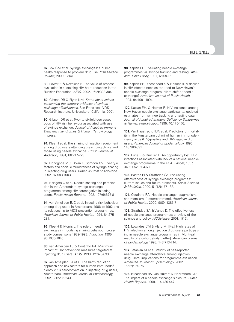**87.** Cox GM et al. Syringe exchanges: a public health response to problem drug use. Irish Medical Journal, 2000, 93(4).

88. Power R & Nozhkina N. The value of process evaluation in sustaining HIV harm reduction in the Russian Federation. AIDS, 2002, 16(2):303-304.

**89.** Gibson DR & Flynn NM. Some observations concerning the contrary evidence of syringe exchange effectiveness. San Francisco, AIDS Research Institute, University of California, 2001.

**90.** Gibson DR et al. Two- to six-fold decreased odds of HIV risk behaviour associated with use of syringe exchange. Journal of Acquired Immune Deficiency Syndromes & Human Retrovirology, in press.

**91.** Klee H et al. The sharing of injection equipment among drug users attending prescribing clinics and those using needle exchange. British Journal of Addiction, 1991, 86:217-223.

**92.** Donoghoe MC, Dolan K, Stimdon GV. Life-style factors and social circumstances of syringe sharing in injecting drug users. British Journal of Addiction, 1992, 87:993-1003.

**93.** Hartgers C et al. Needle-sharing and participation in the Amsterdam syringe exchange programme among HIV-seronegative injecting users. Public Health Reports, 1992, 107(6):675-81.

**94.** van Ameijden EJC et al. Injecting risk behaviour among drug users in Amsterdam, 1986 to 1992 and its relationship to AIDS prevention programmes. American Journal of Public Health, 1994, 84:275- 281.

**95.** Klee H & Morris J. The role of needle exchanges in modifying sharing behaviour: crossstudy comparisons 1989-1993. Addiction, 1995, 90:1635-1645.

**96.** van Ameijden EJ & Coutinho RA. Maximum impact of HIV prevention measures targeted at injecting drug users. AIDS, 1998, 12:625-633.

**97.** van Ameijden EJ et al. The harm reduction approach and risk factors for human immunodeficiency virus seroconversion in injecting drug users, Amsterdam, American Journal of Epidemiology, 1992, 136:236-243.

**98.** Kaplan EH. Evaluating needle exchange programmes via syringe tracking and testing. AIDS and Public Policy, 1991, 6:109-15.

**99.** Kaplan EH, Khoshnood K & Heimer R. A decline in HIV-infected needles returned to New Haven's needle exchange program: client shift or needle exchange? American Journal of Public Health, 1994, 84:1991-1994.

**100.** Kaplan EH. & Heimer R. HIV incidence among New Haven needle exchange participants: updated estimates from syringe tracking and testing data. Journal of Acquired Immune Deficiency Syndromes & Human Retrovirology, 1995, 10:175-176.

**101.** Van Haastrecht HJA et al. Predictors of mortality in the Amsterdam cohort of human immunodeficiency virus (HIV)-positive and HIV-negative drug users. American Journal of Epidemiology, 1996, 143:380-391.

**102.** Lurie P & Drucker E. An opportunity lost: HIV infections associated with lack of a national needleexchange programme in the USA. Lancet, 1997, 349(9052):604-608.

**103.** Bastos FI & Strathdee SA. Evaluating effectiveness of syringe exchange programes: current issues and future prospects. Social Science & Medicine, 2000, 51(12):1771-82.

**104.** Coutinho RA. Needle exchange, pragmatism, and moralism. [Letter;comment]. American Journal of Public Health, 2000, 90(9):1385-7.

**105.** Strathdee SA & Vlahov D. The effectiveness of needle exchange programmes: a review of the science and policy. AIDScience, 2001, 1(16).

**106.** Lowndes CM & Alary M. [Re:] High rates of HIV infection among injection drug users participating in needle exchange programmes in Montreal: results of a cohort study [Letter]. American Journal of Epidemiology, 1998, 148:713-714.

**107.** Safaeian M et al. Validity of self-reported needle exchange attendance among injection drug users: implications for programme evaluation. American Journal of Epidemiology, 2002, 155(2):169-75.

**108.** Broadhead RS, van Hulst Y & Heckathorn DD. The impact of a needle exchange's closure. Public Health Reports, 1999, 114:439-447.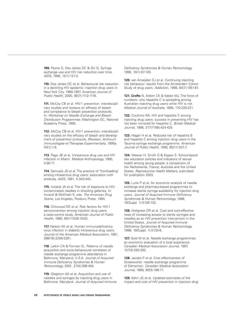**109.** Paone D, Des Jarlais DC & Shi Q. Syringe exchange use and HIV risk reduction over time. AIDS, 1998, 12(1):121-3.

**110.** Des Jarlais DC et al. Behavioural risk reduction in a declining HIV epidemic: injection drug users in New York City, 1990-1997. American Journal of Public Health, 2000, 90(7):1112-1116.

**111.** McCoy CB et al. HIV-1 prevention: interdisciplinary studies and reviews on efficacy of bleach and compliance to bleach prevention protocols. In: Workshop on Needle Exchange and Bleach Distribution Programmes. Washington DC, National Academy Press, 1995.

**112.** McCoy CB et al. HIV-1 prevention: interdisciplinary studies on the efficacy of bleach and development of prevention protocols. [Review]. Archivum Immunologiae et Therapiae Experimentalis, 1995a. 43(1):1-9.

**113.** Page JB et al. Intravenous drug use and HIV infection in Miami. Medical Anthropology, 1990, 4:56-71.

**114.** Samuels JS et al. The practice of "frontloading" among intravenous drug users: association with antibody. AIDS, 1991, 5:343-345.

**115.** Inciardi JA et al. The risk of exposure to HIVcontaminated needles in shooting galleries. In: Inciardi & McElrath K, eds. The American Drug Scene, Los Angeles, Roxbury Press, 1994.

**116.** Chitwood DD et al. Risk factors for HIV-1 seroconversion among injection drug users: a case-control study. American Journal of Public Health, 1995, 85(111538-1542).

**117.** Nelson KE et al. Human immunodeficiency virus infection in diabetic intravenous drug users. Journal of the American Medical Association, 1991, 266(16):2259-2261.

**118.** Latkin CA & Forman VL. Patterns of needle acquisition and socio-behavioural correlates of needle exchange programme attendance in Baltimore, Maryland, U.S.A. Journal of Acquired Immune Deficiency Syndromes & Human Retrovirology, 2001, 27(4):398-404.

**119.** Gleghorn AA et al. Acquisition and use of needles and syringes by injecting drug users in Baltimore, Maryland. Journal of Acquired Immune Deficiency Syndromes & Human Retrovirology, 1995, 10(1):97-103.

**120.** van Ameijden EJ et al. Continuing injecting risk behaviour: results from the Amsterdam Cohort Study of drug users. Addiction, 1999, 94(7):1051-61.

**121. Crofts** N, Aitken CK & Kaldor MJ. The force of numbers: why hepatitis C is spreading among Australian injecting drug users while HIV is not. Medical Journal of Australia, 1999, 170:220-221.

**122.** Coutinho RA. HIV and hepatitis C among injecting drug users: success in preventing HIV has not been mirrored for hepatitis C. British Medical Journal, 1998, 317(7156):424-425.

**123.** Hagan H et al. Reduced risk of hepatitis B and hepatitis C among injection drug users in the Tacoma syringe exchange programme. American Journal of Public Health, 1995, 85(11):531-7.

**124.** Weaver H, Smith G & Kippax S. School-based sex education policies and indicators of sexual health among young people: a comparison of the Netherlands, France, Australia and the United States. Reproductive Health Matters, submitted for publication 2003.

**125.** Lurie P et al. An economic analysis of needle exchange and pharmacy-based programmes to increase sterile syringe availability for injection drug users. Journal of Acquired Immune Deficiency Syndromes & Human Retrovirology, 1998, 18(Suppl. 1):S126-132.

**126.** Holtgrave DR et al. Cost and cost-effectiveness of increasing access to sterile syringes and needles as an HIV prevention intervention in the United States. Journal of Acquired Immune Deficiency Syndromes & Human Retrovirology, 1998, 18(Suppl. 1):S133-8.

**127.** Gold M et al. Needle exchange programmes: an economic evaluation of a local experience. Canadian Medical Association Journal, 1997, 157(3):255-262.

**128.** Jacobs P et al. Cost effectiveness of Streetworks' needle exchange programme of Edmonton. Canadian Medical Association Journal, 1999, 90(3):168-71.

**129.** Kahn JG et al. Updated estimates of the impact and cost of HIV prevention in injection drug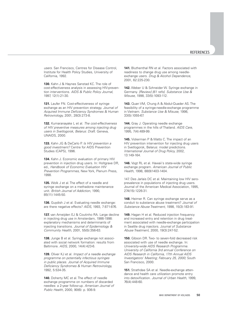users. San Francisco, Centres for Disease Control, Institute for Health Policy Studies, University of California, 1992.

**130.** Kahn J & Haynes Sanstad KC. The role of cost-effectiveness analysis in assessing HIV-prevention interventions. AIDS & Public Policy Journal, 1997, 12(1):21-30.

**131.** Laufer FN. Cost-effectiveness of syringe exchange as an HIV prevention strategy. Journal of Acquired Immune Deficiency Syndromes & Human Retrovirology, 2001, 28(3):273-8.

**132.** Kumaranayake L et al. The cost-effectiveness of HIV preventive measures among injecting drug users in Svetlogorsk, Belarus: Draft. Geneva, UNAIDS, 2000.

133. Kahn JG & DeCarlo P. Is HIV prevention a good investment? Centre for AIDS Prevention Studies (CAPS), 1996.

**134.** Kahn J. Economic evaluation of primary HIV prevention in injection drug users. In: Holtgrave DR, ed., Handbook of Economic Evaluation HIV Prevention Programmes, New York, Plenum Press, 1998.

**135.** Wolk J et al. The effect of a needle and syringe exchange on a methadone maintenance unit. British Journal of Addiction, 1990, 85(11):1445-50.

**136.** Guydish J et al. Evaluating needle exchange: are there negative effects? AIDS, 1993, 7:871-876.

**137.** van Ameijden EJ & Coutinho RA. Large decline in injecting drug use in Amsterdam, 1986-1998: explanatory mechanisms and determinants of injecting transitions. Journal of Epidemiology & Community Health, 2001, 55(5):356-63.

**138.** Junge B et al. Syringe exchange not associated with social network formation: results from Baltimore. AIDS, 2000, 14(4):423-6.

139. Oliver KJ et al. Impact of a needle exchange programme on potentially infectious syringes in public places. Journal of Acquired Immune Deficiency Syndromes & Human Retrovirology, 1992, 5:534-35.

**140.** Doherty MC et al. The effect of needle exchange programme on numbers of discarded needles: a 2-year follow-up. American Journal of Public Health, 2000, 90(6): p. 936-9.

**141.** Bluthenthal RN et al. Factors associated with readiness to change drug use among needleexchange users. Drug & Alcohol Dependence, 2001, 62:225-230.

**142.** Weber U & Schneider W. Syringe exchange in Germany. [Review] [61 refs]. Substance Use & Misuse, 1998, 33(5):1093-112.

**143.** Quan VM, Chung A & Abdul-Quader AS. The feasibility of a syringe-needle-exchange programme in Vietnam. Substance Use & Misuse, 1998, 33(5):1055-67.

**144.** Gray J. Operating needle exchange programmes in the hills of Thailand. AIDS Care, 1995, 7(4):489-99.

**145.** Vickerman P & Watts C. The impact of an HIV prevention intervention for injecting drug users in Svetlogorsk, Belarus: model predictions. International Journal of Drug Policy, 2002, 13:149-164.

**146.** Vogt RL et al. Hawaii's state-wide syringe exchange program. American Journal of Public Health, 1998, 88(9)1403-1404.

147. Des Jarlais DC et al. Maintaining low HIV seroprevalence in populations of injecting drug users. Journal of the American Medical Association, 1995, 274(15):1226-31.

**148.** Heimer R. Can syringe exchange serve as a conduit to substance abuse treatment? Journal of Substance Abuse Treatment, 1998, 15(3):183-91.

**149.** Hagan H et al. Reduced injection frequency and increased entry and retention in drug treatment associated with needle-exchange participation in Seattle drug injectors. Journal of Substance Abuse Treatment, 2000, 19(3):247-52.

**150.** Gibson DR. Two- to seven-fold decreased risk associated with use of needle exchange. In: University-wide AIDS Research Programme. University of California 3rd annual Conference on AIDS Research in California, 17th Annual AIDS Investigators' Meeting; February 25, 2000; South San Francisco, 2000.

**151.** Strathdee SA et al. Needle-exchange attendance and health care utilization promote entry into detoxification. Journal of Urban Health, 1999, 76(4):448-60.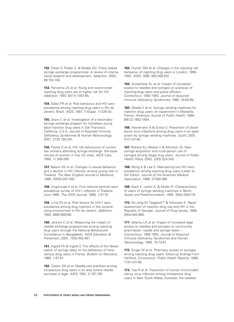**152.** Dolan K, Rutter S, & Wodak AD. Prison based syringe exchange programmes: A review of international research and development. Addiction, 2003, 98:153-158.

**153.** Fennema JS et al. Young and recent-onset injecting drug users are at higher risk for HIV. Addiction, 1997, 92(11):1457-65.

**154.** Telles PR et al. Risk behaviour and HIV seroprevalence among injecting drug users in Rio de Janeiro, Brazil. AIDS, 1997, 11(Suppl. 1):S35-42.

**155.** Sears C et al. Investigation of a secondary syringe exchange program for homeless young adult injection drug users in San Francisco, California, U.S.A. Journal of Acquired Immune Deficiency Syndromes & Human Retrovirology, 2001, 27(2):193-201.

**156.** Paone D et al. HIV risk behaviours of current sex workers attending syringe exchange: the experiences of women in five US cities. AIDS Care, 1999, 11:269-280.

**157.** Nelson KE et al. Changes in sexual behaviour and a decline in HIV infection among young men in Thailand. The New England Journal of Medicine, 1996, 335(5):297-303.

**158.** Ungchusak K et al. First national sentinel seroprevalence survey of HIV-1 infection in Thailand, June 1989. Thai AIDS Journal, 1989, 1:57-74.

**159.** Lima ES et al. Risk factors for HIV-1 seroprevalence among drug injectors in the cocaineusing environment in Rio de Janeiro. Addiction, 1994, 89(6):689-98.

**160.** Jenkins C et al. Measuring the impact of needle exchange programmes among injecting drug users through the National Behavioural Surveillance in Bangladesh. AIDS Education & Prevention, 2001, 13(5):452-461.

**161.** Ingold FR & Ingold S. The effects of the liberalization of syringe sales on the behaviour of intravenous drug users in France. Bulletin on Narcotics, 1989, 1:67-81.

**162.** Caslyn DA et al. Needle-use practices among intravenous drug users in an area where needle purchase is legal. AIDS, 1991, 5:187-193.

**163.** Hunter GM et al. Changes in the injecting risk behaviour of injecting drug users in London, 1990- 1993. AIDS, 1995, 9(5):493-501.

**164.** Groseclose SL et al. Impact of increased access to needles and syringes on practices of injecting-drug users and police officers– Connecticut, 1992-1993. Journal of Acquired Immune Deficiency Syndromes, 1995, 10:82-89.

**165.** Obadia Y et al. Syringe vending machines for injection drug users: an experiment in Marseille, France. American Journal of Public Health, 1999, 89(12):1852-1854.

**166.** Heinemann A & Gross U. Prevention of bloodborne virus infections among drug users in an open prison by syringe vending machines. Sucht, 2001, 47(1):57-65.

**167.** Richard AJ, Mosier V & Atkinson JS. New syringe acquisition and multi-person use of syringes among illegal drug users. Journal of Public Health Policy, 2002, 23(3):324-343.

**168.** Wong K & Lee S. Maintaining low HIV seroprevalence among injecting drug users (Letter to the Editor). Journal of the American Medical Association, 1996, 275(8):596.

**169.** Stark K, Leicht A, & Muller R. Characteristics of users of syringe vending machines in Berlin. Sozial und Praventivmedizin, 1994. 39(4):209-216.

**170.** De Jong W, Tsagarelli T & Schouten E. Rapid assessment of injection drug use and HIV in the Republic of Georgia. Journal of Drug Issues, 1999, 29(4):843-860.

**171.** Valleroy LA et al. Impact of increased legal access to needles and syringes on community pharmacies' needle and syringe sales— Connecticut, 1992-1993. Journal of Acquired Immune Deficiency Syndromes and Human Retrovirology, 1995, 10:73-81.

**172.** Singer M et al. Pharmacy access to syringes among injecting drug users: follow-up findings from Hartford, Connecticut. Public Health Reports, 1998, 113(1):81-89.

**173.** Tsai R et al. Prevention of human immunodeficiency virus infection among intravenous drug users in New South Wales, Australia: the needles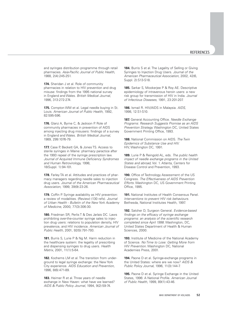and syringes distribution programme through retail pharmacies. Asia-Pacific Journal of Public Health, 1988, 2(4):245-251.

**174.** Sheridan J et al. Role of community pharmacies in relation to HIV prevention and drug misuse: findings from the 1995 national survey in England and Wales. British Medical Journal, 1996, 313:272-274.

**175.** Compton WM et al. Legal needle buying in St. Louis. American Journal of Public Health, 1992, 82:595-596.

**176.** Glanz A, Byrne C, & Jackson P. Role of community pharmacies in prevention of AIDS among injecting drug misusers: findings of a survey in England and Wales. British Medical Journal, 1989, 299:1076-79.

**177.** Case P, Beckett GA, & Jones TS. Access to sterile syringes in Maine: pharmacy paractice after the 1993 repeal of the syringe prescription law. Journal of Acquired Immune Deficiency Syndromes and Human Retrovirology, 1998, 18(Suppl. 1):94-101.

**178.** Farley TA et al. Attitudes and practices of pharmacy managers regarding needle sales to injection drug users. Journal of the American Pharmaceutical Association, 1999, 39(9):23-26.

**179.** Coffin P. Syringe availability as HIV prevention: a review of modalities. (Review) (130 refs). Journal of Urban Health - Bulletin of the New York Academy of Medicine, 2000, 77(3):306-30.

**180.** Friedman SR, Perlis T & Des Jarlais DC. Laws prohibiting over-the-counter syringe sales to injection drug users: relations to population density, HIV prevalence, and HIV incidence. American Journal of Public Health, 2001, 92(5):791-793.

**181.** Burris S, Lurie P & Ng M. Harm reduction in the healthcare system: the legality of prescribing and dispensing syringes to drug users. Health Matrix, 2001, 11(1):5-64.

**182.** Kochems LM et al. The transition from underground to legal syringe exchange: the New York City experience. AIDS Education and Prevention, 1996, 8(6):471-89.

**183.** Heimer R et al. Three years of needle exchange in New Haven: what have we learned? AIDS & Public Policy Journal, 1994, 9(2):59-74.

**184.** Burris S et al. The Legality of Selling or Giving Syringes to Injection Drug Users. Journal of the American Pharmaceutical Association, 2002, 42(6, Suppl. 2):S13-S18.

**185.** Sarkar S, Mookerjee P & Roy AE. Descriptive epidemiology of intravenous heroin users: a new risk group for transmission of HIV in India. Journal of Infectious Diseases, 1991, 23:201-207.

**186.** Ismail R. HIV/AIDS in Malaysia. AIDS, 1998, 12:S1-S10.

**187.** General Accounting Office. Needle Exchange Programs: Research Suggests Promise as an AIDS Prevention Strategy. Washington DC, United States Government Printing Office, 1993.

**188.** National Commission on AIDS. The Twin Epidemics of Substance Use and HIV. HIV, Washington DC, 1991.

**189.** Lurie P & Reingold AL, eds. The public health impact of needle exchange programs in the United States and abroad, Vol. 1. Atlanta, Centers for Disease Control and Prevention, 1993.

**190.** Office of Technology Assessment of the US Congress. The Effectiveness of AIDS Prevention Efforts. Washington DC, US Government Printing Office, 1995.

**191.** National Institutes of Health Consensus Panel. Interventions to prevent HIV risk behaviours. Bethesda, National Institutes Health, 1997.

**192.** Satcher D, Surgeon General. Evidence-based findings on the efficacy of syringe exchange programs: an analysis of the scientific research completed since April 1998. Washington, DC, United States Department of Health & Human Sciences, 2000.

**193.** Institute of Medicine of the National Academy of Science. No Time to Lose: Getting More from HIV Prevention. Washington DC, National Academies Press, 2001.

**194.** Paone D et al. Syringe-exchange programs in the United States: where are we now? AIDS & Public Policy Journal, 1996, 11(3):144-7.

**195.** Paone D et al. Syringe Exchange in the United States, 1996: A National Profile. American Journal of Public Health, 1999, 89(1):43-46.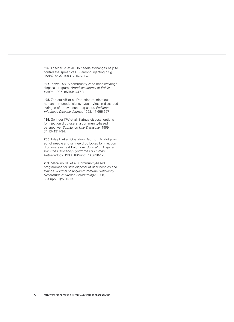**196.** Frischer M et al. Do needle exchanges help to control the spread of HIV among injecting drug users? AIDS, 1993, 7:1677-1678.

**197.** Toews DW. A community-wide needle/syringe disposal program. American Journal of Public Health, 1995, 85(10):1447-8.

**198.** Zamora AB et al. Detection of infectious human immunodeficiency type 1 virus in discarded syringes of intravenous drug users. Pediatric Infectious Disease Journal, 1998, 17:655-657.

**199.** Springer KW et al. Syringe disposal options for injection drug users: a community-based perspective. Substance Use & Misuse, 1999, 34(13):1917-34.

**200.** Riley E et al. Operation Red Box: A pilot project of needle and syringe drop boxes for injection drug users in East Baltimore. Journal of Acquired Immune Deficiency Syndromes & Human Retrovirology, 1998, 18(Suppl. 1):S120-125.

**201.** Macalino GE et al. Community-based programmes for safe disposal of user needles and syringe. Journal of Acquired Immune Deficiency Syndromes & Human Retrovirology, 1998, 18(Suppl. 1):S111-119.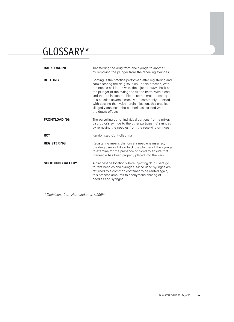## GLOSSARY\*

| <b>BACKLOADING</b>      | Transferring the drug from one syringe to another<br>by removing the plunger from the receiving syringes.                                                                                                                                                                                                                                                                                                                                                                                  |
|-------------------------|--------------------------------------------------------------------------------------------------------------------------------------------------------------------------------------------------------------------------------------------------------------------------------------------------------------------------------------------------------------------------------------------------------------------------------------------------------------------------------------------|
| <b>BOOTING</b>          | Booting is the practice performed after registering and<br>administering the drug solution. In this process, with<br>the needle still in the vein, the injector draws back on<br>the plunger of the syringe to fill the barrel with blood<br>and then re-injects the blood, sometimes repeating<br>this practice several times. More commonly reported<br>with cocaine than with heroin injection, this practice<br>allegedly enhances the euphoria associated with<br>the drug's effects. |
| <b>FRONTLOADING</b>     | The parcelling out of individual portions from a mixer/<br>distributor's syringe to the other participants' syringes<br>by removing the needles from the receiving syringes.                                                                                                                                                                                                                                                                                                               |
| <b>RCT</b>              | Randomized Controlled Trial                                                                                                                                                                                                                                                                                                                                                                                                                                                                |
| <b>REGISTERING</b>      | Registering means that once a needle is inserted,<br>the drug user will draw back the plunger of the syringe<br>to examine for the presence of blood to ensure that<br>theneedle has been properly placed into the vein.                                                                                                                                                                                                                                                                   |
| <b>SHOOTING GALLERY</b> | A clandestine location where injecting drug users go<br>to rent needles and syringes. Since used syringes are<br>returned to a common container to be rented again,<br>this process amounts to anonymous sharing of<br>needles and syringes.                                                                                                                                                                                                                                               |

\* Definitions from Normand et al. (1995)<sup>(6)</sup>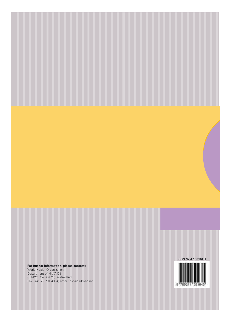**For further information, please contact:** World Health Organization, Department of HIV/AIDS CH-1211 Geneva 27, Switzerland Fax: +41 22 791 4834; email: hiv-aids@who.int